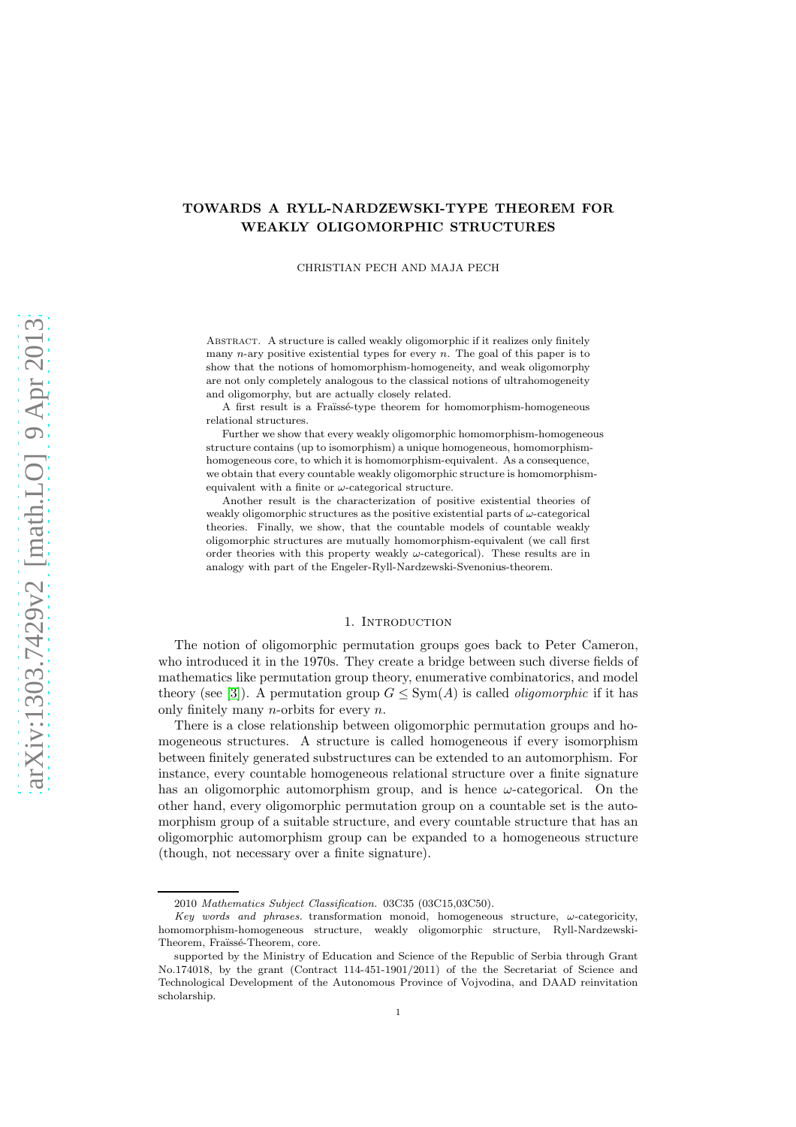# TOWARDS A RYLL-NARDZEWSKI-TYPE THEOREM FOR WEAKLY OLIGOMORPHIC STRUCTURES

#### CHRISTIAN PECH AND MAJA PECH

Abstract. A structure is called weakly oligomorphic if it realizes only finitely many *n*-ary positive existential types for every *n*. The goal of this paper is to show that the notions of homomorphism-homogeneity, and weak oligomorphy are not only completely analogous to the classical notions of ultrahomogeneity and oligomorphy, but are actually closely related.

A first result is a Fraüssé-type theorem for homomorphism-homogeneous relational structures.

Further we show that every weakly oligomorphic homomorphism-homogeneous structure contains (up to isomorphism) a unique homogeneous, homomorphismhomogeneous core, to which it is homomorphism-equivalent. As a consequence, we obtain that every countable weakly oligomorphic structure is homomorphismequivalent with a finite or  $\omega$ -categorical structure.

Another result is the characterization of positive existential theories of weakly oligomorphic structures as the positive existential parts of  $\omega$ -categorical theories. Finally, we show, that the countable models of countable weakly oligomorphic structures are mutually homomorphism-equivalent (we call first order theories with this property weakly  $\omega$ -categorical). These results are in analogy with part of the Engeler-Ryll-Nardzewski-Svenonius-theorem.

#### 1. INTRODUCTION

The notion of oligomorphic permutation groups goes back to Peter Cameron, who introduced it in the 1970s. They create a bridge between such diverse fields of mathematics like permutation group theory, enumerative combinatorics, and model theory (see [\[3\]](#page-19-0)). A permutation group  $G \le \text{Sym}(A)$  is called *oligomorphic* if it has only finitely many *n*-orbits for every  $n$ .

There is a close relationship between oligomorphic permutation groups and homogeneous structures. A structure is called homogeneous if every isomorphism between finitely generated substructures can be extended to an automorphism. For instance, every countable homogeneous relational structure over a finite signature has an oligomorphic automorphism group, and is hence  $\omega$ -categorical. On the other hand, every oligomorphic permutation group on a countable set is the automorphism group of a suitable structure, and every countable structure that has an oligomorphic automorphism group can be expanded to a homogeneous structure (though, not necessary over a finite signature).

<sup>2010</sup> Mathematics Subject Classification. 03C35 (03C15,03C50).

Key words and phrases. transformation monoid, homogeneous structure,  $\omega$ -categoricity, homomorphism-homogeneous structure, weakly oligomorphic structure, Ryll-Nardzewski-Theorem, Fraïssé-Theorem, core.

supported by the Ministry of Education and Science of the Republic of Serbia through Grant No.174018, by the grant (Contract 114-451-1901/2011) of the the Secretariat of Science and Technological Development of the Autonomous Province of Vojvodina, and DAAD reinvitation scholarship.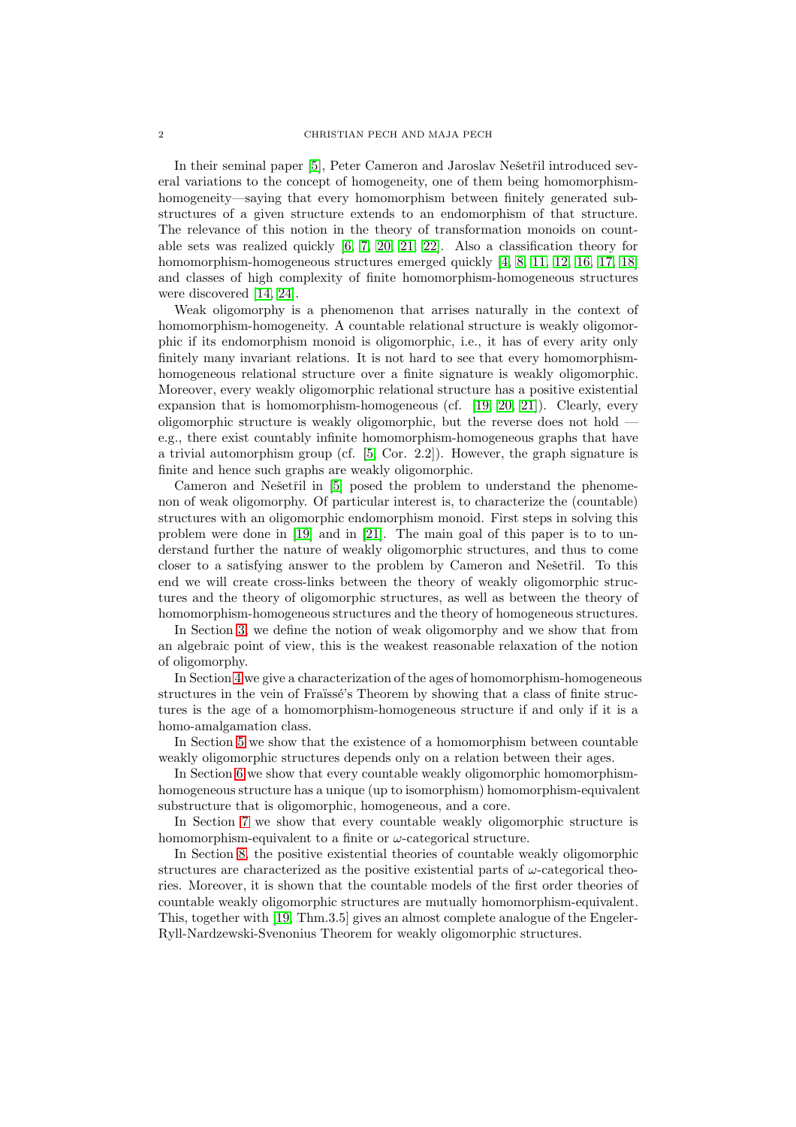In their seminal paper [\[5\]](#page-19-1), Peter Cameron and Jaroslav Nešetřil introduced several variations to the concept of homogeneity, one of them being homomorphismhomogeneity—saying that every homomorphism between finitely generated substructures of a given structure extends to an endomorphism of that structure. The relevance of this notion in the theory of transformation monoids on countable sets was realized quickly [\[6,](#page-19-2) [7,](#page-19-3) [20,](#page-19-4) [21,](#page-19-5) [22\]](#page-19-6). Also a classification theory for homomorphism-homogeneous structures emerged quickly [\[4,](#page-19-7) [8,](#page-19-8) [11,](#page-19-9) [12,](#page-19-10) [16,](#page-19-11) [17,](#page-19-12) [18\]](#page-19-13) and classes of high complexity of finite homomorphism-homogeneous structures were discovered [\[14,](#page-19-14) [24\]](#page-19-15).

Weak oligomorphy is a phenomenon that arrises naturally in the context of homomorphism-homogeneity. A countable relational structure is weakly oligomorphic if its endomorphism monoid is oligomorphic, i.e., it has of every arity only finitely many invariant relations. It is not hard to see that every homomorphismhomogeneous relational structure over a finite signature is weakly oligomorphic. Moreover, every weakly oligomorphic relational structure has a positive existential expansion that is homomorphism-homogeneous (cf. [\[19,](#page-19-16) [20,](#page-19-4) [21\]](#page-19-5)). Clearly, every oligomorphic structure is weakly oligomorphic, but the reverse does not hold e.g., there exist countably infinite homomorphism-homogeneous graphs that have a trivial automorphism group (cf. [\[5,](#page-19-1) Cor. 2.2]). However, the graph signature is finite and hence such graphs are weakly oligomorphic.

Cameron and Nešetřil in [\[5\]](#page-19-1) posed the problem to understand the phenomenon of weak oligomorphy. Of particular interest is, to characterize the (countable) structures with an oligomorphic endomorphism monoid. First steps in solving this problem were done in [\[19\]](#page-19-16) and in [\[21\]](#page-19-5). The main goal of this paper is to to understand further the nature of weakly oligomorphic structures, and thus to come closer to a satisfying answer to the problem by Cameron and Nešetřil. To this end we will create cross-links between the theory of weakly oligomorphic structures and the theory of oligomorphic structures, as well as between the theory of homomorphism-homogeneous structures and the theory of homogeneous structures.

In Section [3,](#page-2-0) we define the notion of weak oligomorphy and we show that from an algebraic point of view, this is the weakest reasonable relaxation of the notion of oligomorphy.

In Section [4](#page-3-0) we give a characterization of the ages of homomorphism-homogeneous structures in the vein of Fraïssé's Theorem by showing that a class of finite structures is the age of a homomorphism-homogeneous structure if and only if it is a homo-amalgamation class.

In Section [5](#page-9-0) we show that the existence of a homomorphism between countable weakly oligomorphic structures depends only on a relation between their ages.

In Section [6](#page-11-0) we show that every countable weakly oligomorphic homomorphismhomogeneous structure has a unique (up to isomorphism) homomorphism-equivalent substructure that is oligomorphic, homogeneous, and a core.

In Section [7](#page-16-0) we show that every countable weakly oligomorphic structure is homomorphism-equivalent to a finite or  $\omega$ -categorical structure.

In Section [8,](#page-17-0) the positive existential theories of countable weakly oligomorphic structures are characterized as the positive existential parts of  $\omega$ -categorical theories. Moreover, it is shown that the countable models of the first order theories of countable weakly oligomorphic structures are mutually homomorphism-equivalent. This, together with [\[19,](#page-19-16) Thm.3.5] gives an almost complete analogue of the Engeler-Ryll-Nardzewski-Svenonius Theorem for weakly oligomorphic structures.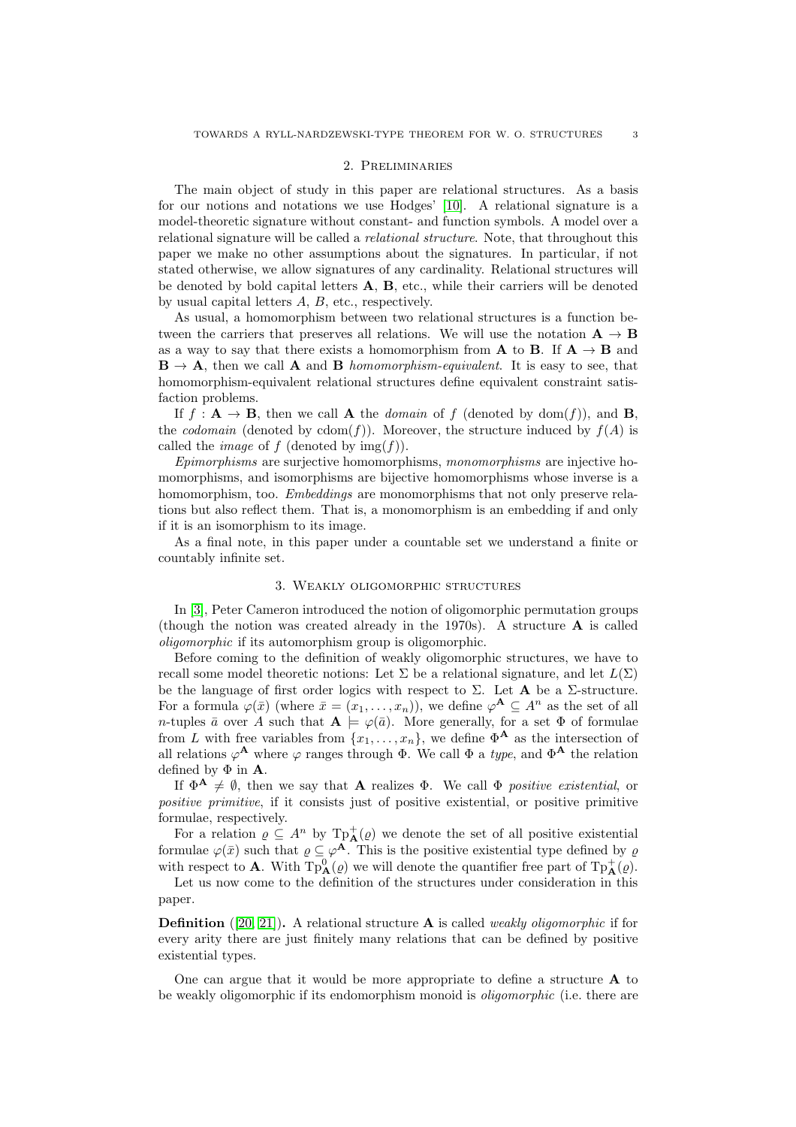#### 2. Preliminaries

The main object of study in this paper are relational structures. As a basis for our notions and notations we use Hodges' [\[10\]](#page-19-17). A relational signature is a model-theoretic signature without constant- and function symbols. A model over a relational signature will be called a *relational structure*. Note, that throughout this paper we make no other assumptions about the signatures. In particular, if not stated otherwise, we allow signatures of any cardinality. Relational structures will be denoted by bold capital letters  $A, B$ , etc., while their carriers will be denoted by usual capital letters A, B, etc., respectively.

As usual, a homomorphism between two relational structures is a function between the carriers that preserves all relations. We will use the notation  $A \rightarrow B$ as a way to say that there exists a homomorphism from **A** to **B**. If  $\mathbf{A} \to \mathbf{B}$  and  $B \to A$ , then we call A and B *homomorphism-equivalent*. It is easy to see, that homomorphism-equivalent relational structures define equivalent constraint satisfaction problems.

If  $f: \mathbf{A} \to \mathbf{B}$ , then we call **A** the *domain* of f (denoted by dom(f)), and **B**, the *codomain* (denoted by cdom(f)). Moreover, the structure induced by  $f(A)$  is called the *image* of f (denoted by  $\text{img}(f)$ ).

*Epimorphisms* are surjective homomorphisms, *monomorphisms* are injective homomorphisms, and isomorphisms are bijective homomorphisms whose inverse is a homomorphism, too. *Embeddings* are monomorphisms that not only preserve relations but also reflect them. That is, a monomorphism is an embedding if and only if it is an isomorphism to its image.

<span id="page-2-0"></span>As a final note, in this paper under a countable set we understand a finite or countably infinite set.

## 3. Weakly oligomorphic structures

In [\[3\]](#page-19-0), Peter Cameron introduced the notion of oligomorphic permutation groups (though the notion was created already in the 1970s). A structure  $\bf{A}$  is called *oligomorphic* if its automorphism group is oligomorphic.

Before coming to the definition of weakly oligomorphic structures, we have to recall some model theoretic notions: Let  $\Sigma$  be a relational signature, and let  $L(\Sigma)$ be the language of first order logics with respect to  $\Sigma$ . Let **A** be a  $\Sigma$ -structure. For a formula  $\varphi(\bar{x})$  (where  $\bar{x} = (x_1, \ldots, x_n)$ ), we define  $\varphi^{\mathbf{A}} \subseteq A^n$  as the set of all n-tuples  $\bar{a}$  over A such that  $A \models \varphi(\bar{a})$ . More generally, for a set  $\Phi$  of formulae from L with free variables from  $\{x_1, \ldots, x_n\}$ , we define  $\Phi^{\mathbf{A}}$  as the intersection of all relations  $\varphi^{\mathbf{A}}$  where  $\varphi$  ranges through  $\Phi$ . We call  $\Phi$  a *type*, and  $\Phi^{\mathbf{A}}$  the relation defined by  $\Phi$  in  $A$ .

If  $\Phi^{\mathbf{A}} \neq \emptyset$ , then we say that **A** realizes  $\Phi$ . We call  $\Phi$  *positive existential*, or *positive primitive*, if it consists just of positive existential, or positive primitive formulae, respectively.

For a relation  $\varrho \subseteq A^n$  by  $\text{Tp}^+_{\mathbf{A}}(\varrho)$  we denote the set of all positive existential formulae  $\varphi(\bar{x})$  such that  $\varrho \subseteq \varphi^{\mathbf{A}}$ . This is the positive existential type defined by  $\varrho$ with respect to **A**. With  $\text{Tp}^0_{\mathbf{A}}(\varrho)$  we will denote the quantifier free part of  $\text{Tp}^+_{\mathbf{A}}(\varrho)$ .

Let us now come to the definition of the structures under consideration in this paper.

Definition ([\[20,](#page-19-4) [21\]](#page-19-5)). A relational structure A is called *weakly oligomorphic* if for every arity there are just finitely many relations that can be defined by positive existential types.

One can argue that it would be more appropriate to define a structure A to be weakly oligomorphic if its endomorphism monoid is *oligomorphic* (i.e. there are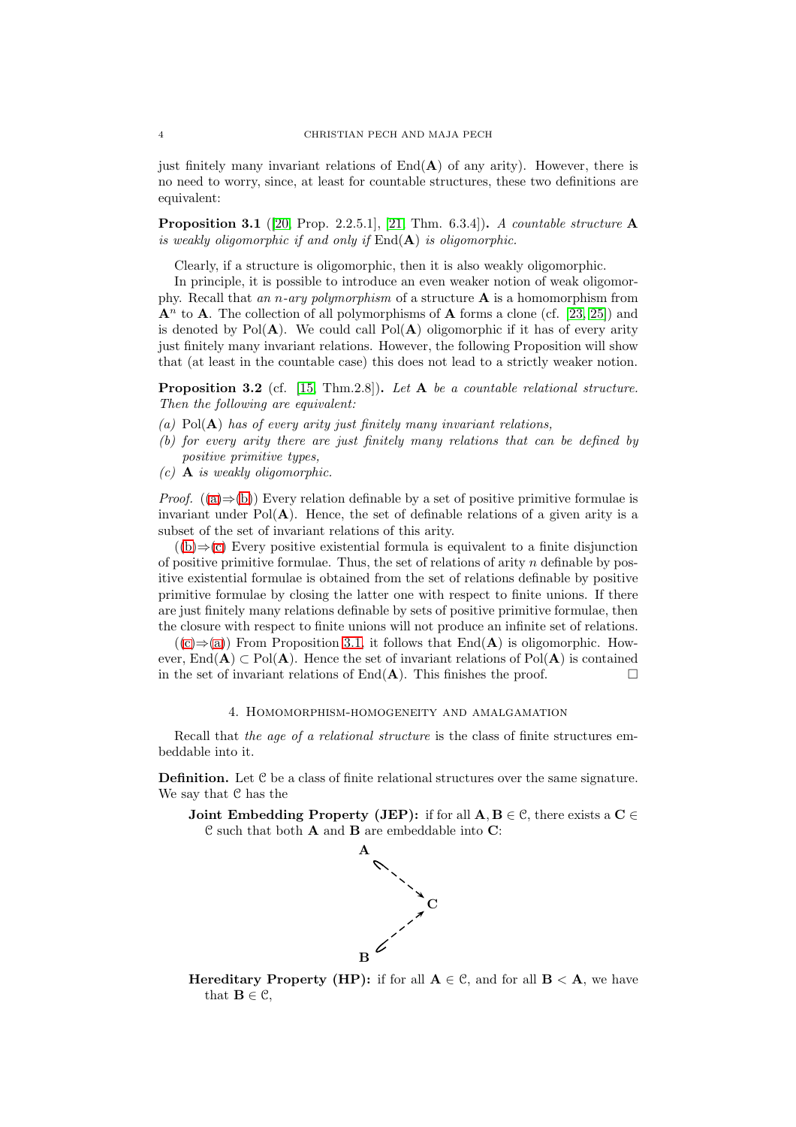just finitely many invariant relations of  $\text{End}(\mathbf{A})$  of any arity). However, there is no need to worry, since, at least for countable structures, these two definitions are equivalent:

<span id="page-3-4"></span>Proposition 3.1 ([\[20,](#page-19-4) Prop. 2.2.5.1], [\[21,](#page-19-5) Thm. 6.3.4]). *A countable structure* A *is weakly oligomorphic if and only if* End(A) *is oligomorphic.*

Clearly, if a structure is oligomorphic, then it is also weakly oligomorphic.

In principle, it is possible to introduce an even weaker notion of weak oligomorphy. Recall that *an* n*-ary polymorphism* of a structure A is a homomorphism from  ${\bf A}^n$  to **A**. The collection of all polymorphisms of **A** forms a clone (cf. [\[23,](#page-19-18) [25\]](#page-20-0)) and is denoted by  $Pol(A)$ . We could call  $Pol(A)$  oligomorphic if it has of every arity just finitely many invariant relations. However, the following Proposition will show that (at least in the countable case) this does not lead to a strictly weaker notion.

Proposition 3.2 (cf. [\[15,](#page-19-19) Thm.2.8]). *Let* A *be a countable relational structure. Then the following are equivalent:*

- <span id="page-3-2"></span><span id="page-3-1"></span>*(a)* Pol(A) *has of every arity just finitely many invariant relations,*
- <span id="page-3-3"></span>*(b) for every arity there are just finitely many relations that can be defined by positive primitive types,*
- *(c)* A *is weakly oligomorphic.*

*Proof.*  $((a) \Rightarrow (b))$  $((a) \Rightarrow (b))$  $((a) \Rightarrow (b))$  $((a) \Rightarrow (b))$  $((a) \Rightarrow (b))$  Every relation definable by a set of positive primitive formulae is invariant under  $Pol(A)$ . Hence, the set of definable relations of a given arity is a subset of the set of invariant relations of this arity.

 $((b) \Rightarrow (c)$  $((b) \Rightarrow (c)$  $((b) \Rightarrow (c)$  $((b) \Rightarrow (c)$  Every positive existential formula is equivalent to a finite disjunction of positive primitive formulae. Thus, the set of relations of arity  $n$  definable by positive existential formulae is obtained from the set of relations definable by positive primitive formulae by closing the latter one with respect to finite unions. If there are just finitely many relations definable by sets of positive primitive formulae, then the closure with respect to finite unions will not produce an infinite set of relations.

 $((c) \Rightarrow (a))$  $((c) \Rightarrow (a))$  $((c) \Rightarrow (a))$  $((c) \Rightarrow (a))$  $((c) \Rightarrow (a))$  From Proposition [3.1,](#page-3-4) it follows that End(A) is oligomorphic. However, End(A) ⊂ Pol(A). Hence the set of invariant relations of Pol(A) is contained in the set of invariant relations of  $\text{End}(\mathbf{A})$ . This finishes the proof.

#### 4. Homomorphism-homogeneity and amalgamation

<span id="page-3-0"></span>Recall that *the age of a relational structure* is the class of finite structures embeddable into it.

Definition. Let C be a class of finite relational structures over the same signature. We say that C has the

**Joint Embedding Property (JEP):** if for all  $A, B \in \mathcal{C}$ , there exists a  $C \in$ C such that both A and B are embeddable into C:



**Hereditary Property (HP):** if for all  $A \in \mathcal{C}$ , and for all  $B \leq A$ , we have that  $\mathbf{B} \in \mathcal{C}$ ,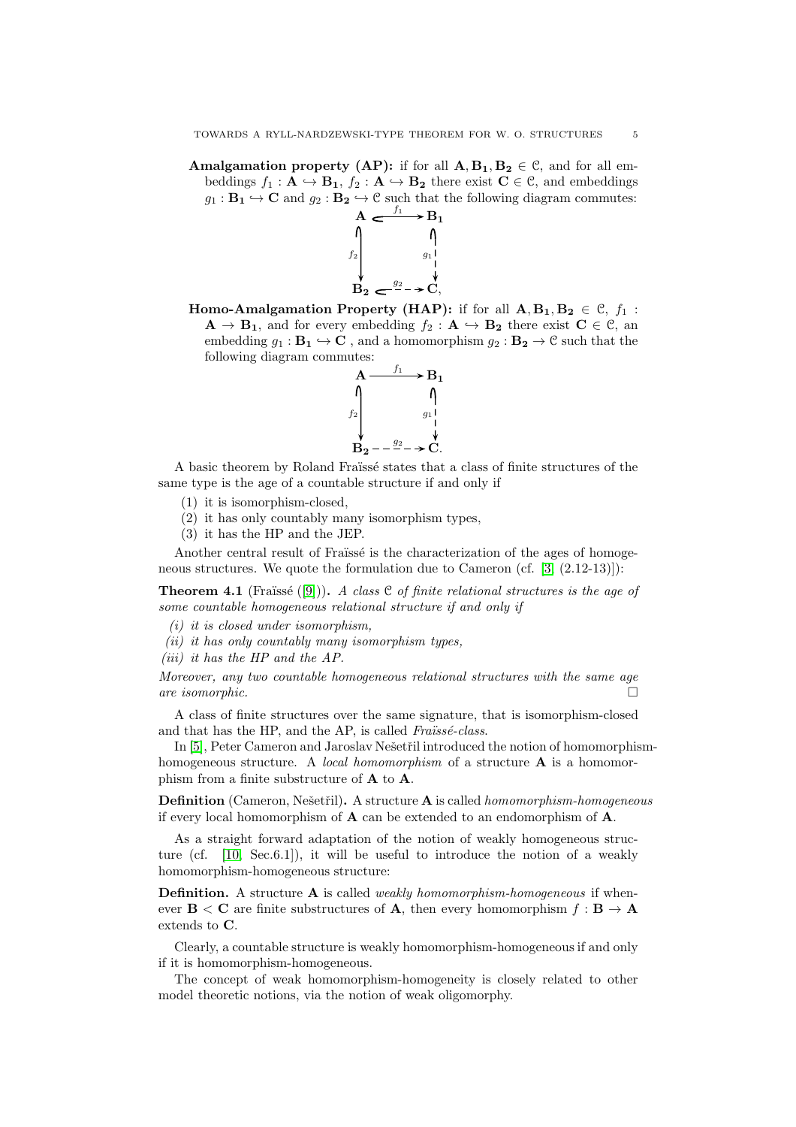Amalgamation property (AP): if for all  $A, B_1, B_2 \in \mathcal{C}$ , and for all embeddings  $f_1 : \mathbf{A} \hookrightarrow \mathbf{B_1}$ ,  $f_2 : \mathbf{A} \hookrightarrow \mathbf{B_2}$  there exist  $\mathbf{C} \in \mathcal{C}$ , and embeddings  $g_1 : \mathbf{B_1} \hookrightarrow \mathbf{C}$  and  $g_2 : \mathbf{B_2} \hookrightarrow \mathbf{C}$  such that the following diagram commutes:



**Homo-Amalgamation Property (HAP):** if for all  $A, B_1, B_2 \in \mathcal{C}, f_1$ :  $\mathbf{A} \to \mathbf{B_1}$ , and for every embedding  $f_2 : \mathbf{A} \to \mathbf{B_2}$  there exist  $\mathbf{C} \in \mathcal{C}$ , an embedding  $g_1 : \mathbf{B}_1 \hookrightarrow \mathbf{C}$ , and a homomorphism  $g_2 : \mathbf{B}_2 \to \mathbf{C}$  such that the following diagram commutes:



A basic theorem by Roland Fraïssé states that a class of finite structures of the same type is the age of a countable structure if and only if

- (1) it is isomorphism-closed,
- (2) it has only countably many isomorphism types,
- (3) it has the HP and the JEP.

Another central result of Fraïssé is the characterization of the ages of homogeneous structures. We quote the formulation due to Cameron (cf. [\[3,](#page-19-0) (2.12-13)]):

**Theorem 4.1** (Fraïssé  $([9])$  $([9])$  $([9])$ ). *A class*  $C$  *of finite relational structures is the age of some countable homogeneous relational structure if and only if*

- *(i) it is closed under isomorphism,*
- *(ii) it has only countably many isomorphism types,*
- *(iii) it has the HP and the AP.*

*Moreover, any two countable homogeneous relational structures with the same age are isomorphic.*

A class of finite structures over the same signature, that is isomorphism-closed and that has the HP, and the AP, is called *Fraüssé-class*.

In [\[5\]](#page-19-1), Peter Cameron and Jaroslav Nešetřil introduced the notion of homomorphismhomogeneous structure. A *local homomorphism* of a structure A is a homomorphism from a finite substructure of A to A.

**Definition** (Cameron, Nešetřil). A structure **A** is called *homomorphism-homogeneous* if every local homomorphism of A can be extended to an endomorphism of A.

As a straight forward adaptation of the notion of weakly homogeneous structure (cf. [\[10,](#page-19-17) Sec.6.1]), it will be useful to introduce the notion of a weakly homomorphism-homogeneous structure:

Definition. A structure A is called *weakly homomorphism-homogeneous* if whenever  $B \leq C$  are finite substructures of **A**, then every homomorphism  $f : B \to A$ extends to C.

Clearly, a countable structure is weakly homomorphism-homogeneous if and only if it is homomorphism-homogeneous.

The concept of weak homomorphism-homogeneity is closely related to other model theoretic notions, via the notion of weak oligomorphy.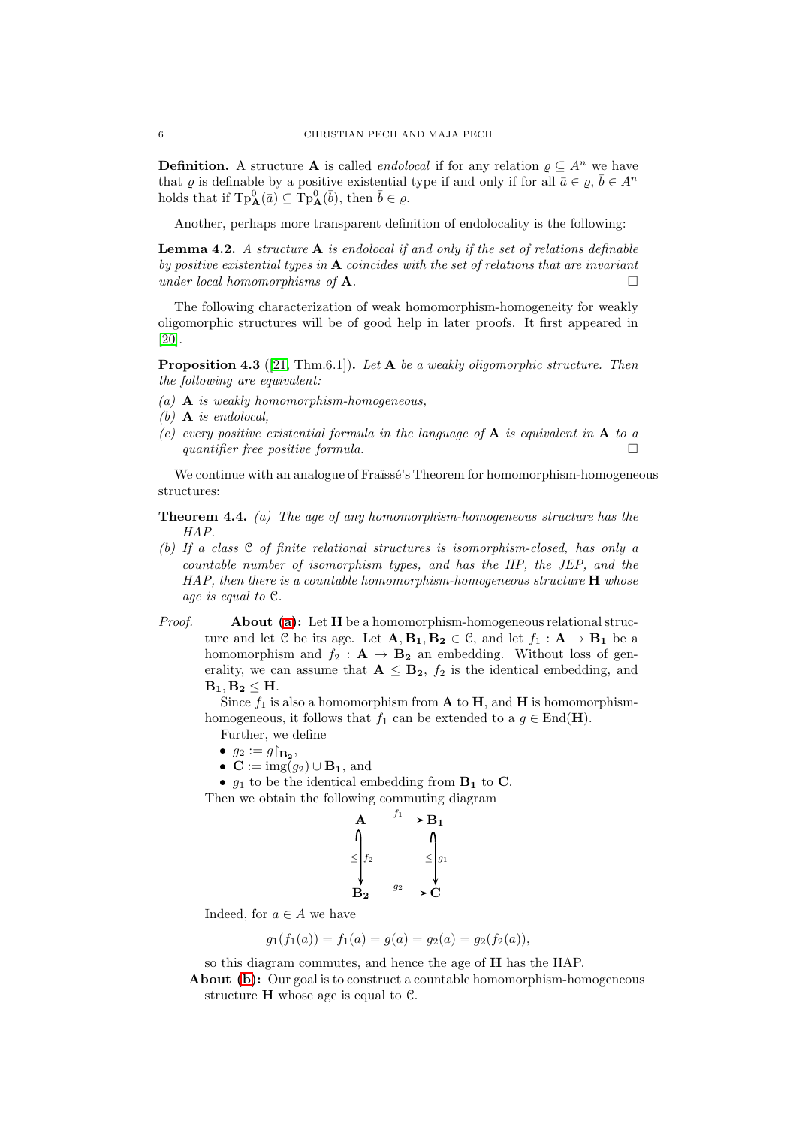**Definition.** A structure **A** is called *endolocal* if for any relation  $\rho \subseteq A^n$  we have that  $\varrho$  is definable by a positive existential type if and only if for all  $\bar{a} \in \varrho, \bar{b} \in A^n$ holds that if  $\text{Tp}^0_{\mathbf{A}}(\bar{a}) \subseteq \text{Tp}^0_{\mathbf{A}}(\bar{b}),$  then  $\bar{b} \in \varrho$ .

Another, perhaps more transparent definition of endolocality is the following:

Lemma 4.2. *A structure* A *is endolocal if and only if the set of relations definable by positive existential types in* A *coincides with the set of relations that are invariant under local homomorphisms of* A*.*

The following characterization of weak homomorphism-homogeneity for weakly oligomorphic structures will be of good help in later proofs. It first appeared in [\[20\]](#page-19-4).

<span id="page-5-2"></span>Proposition 4.3 ([\[21,](#page-19-5) Thm.6.1]). *Let* A *be a weakly oligomorphic structure. Then the following are equivalent:*

- *(a)* A *is weakly homomorphism-homogeneous,*
- *(b)* A *is endolocal,*
- *(c) every positive existential formula in the language of* A *is equivalent in* A *to a quantifier free positive formula.*

We continue with an analogue of Fraïssé's Theorem for homomorphism-homogeneous structures:

<span id="page-5-1"></span><span id="page-5-0"></span>Theorem 4.4. *(a) The age of any homomorphism-homogeneous structure has the HAP.*

- *(b) If a class* C *of finite relational structures is isomorphism-closed, has only a countable number of isomorphism types, and has the HP, the JEP, and the HAP, then there is a countable homomorphism-homogeneous structure* H *whose age is equal to* C*.*
- *Proof.* About [\(a\)](#page-5-0): Let H be a homomorphism-homogeneous relational structure and let C be its age. Let  $\mathbf{A}, \mathbf{B}_1, \mathbf{B}_2 \in \mathcal{C}$ , and let  $f_1 : \mathbf{A} \to \mathbf{B}_1$  be a homomorphism and  $f_2 : \mathbf{A} \to \mathbf{B_2}$  an embedding. Without loss of generality, we can assume that  $A \leq B_2$ ,  $f_2$  is the identical embedding, and  $B_1, B_2 \leq H$ .

Since  $f_1$  is also a homomorphism from **A** to **H**, and **H** is homomorphismhomogeneous, it follows that  $f_1$  can be extended to a  $g \in \text{End}(\mathbf{H})$ .

Further, we define

- $g_2 := g|_{\mathbf{B_2}}$
- $\mathbf{C} := \text{img}(g_2) \cup \mathbf{B_1}$ , and

•  $g_1$  to be the identical embedding from  $\mathbf{B}_1$  to  $\mathbf{C}$ . Then we obtain the following commuting diagram

$$
\begin{array}{ccc}\nA & f_1 & B_1 \\
\uparrow & & \uparrow \\
\leq & & \leq & g_1 \\
\downarrow & & & \leq & g_2 \\
B_2 & g_2 & & & \nearrow\n\end{array}
$$

Indeed, for  $a \in A$  we have

$$
g_1(f_1(a)) = f_1(a) = g(a) = g_2(a) = g_2(f_2(a)),
$$

so this diagram commutes, and hence the age of H has the HAP.

About [\(b\)](#page-5-1): Our goal is to construct a countable homomorphism-homogeneous structure  $H$  whose age is equal to  $C$ .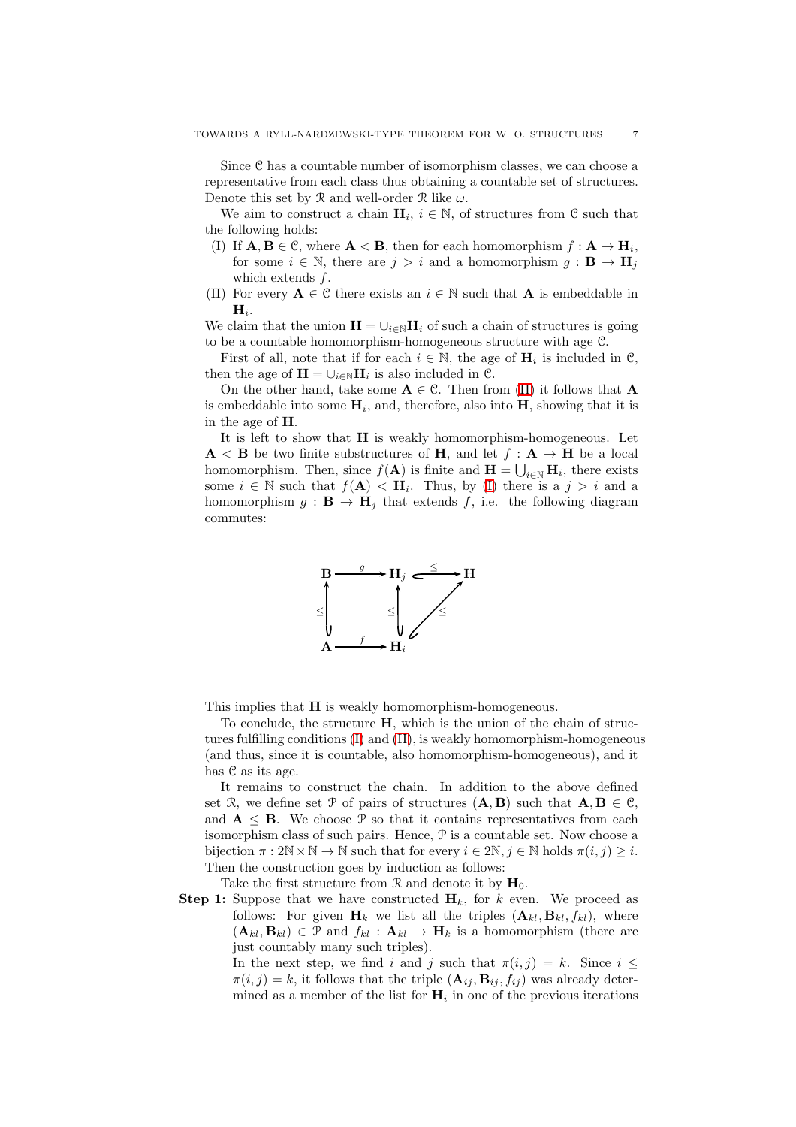Since  $C$  has a countable number of isomorphism classes, we can choose a representative from each class thus obtaining a countable set of structures. Denote this set by  $\mathcal R$  and well-order  $\mathcal R$  like  $\omega$ .

<span id="page-6-1"></span>We aim to construct a chain  $H_i$ ,  $i \in \mathbb{N}$ , of structures from  $\mathcal{C}$  such that the following holds:

- (I) If  $\mathbf{A}, \mathbf{B} \in \mathcal{C}$ , where  $\mathbf{A} < \mathbf{B}$ , then for each homomorphism  $f : \mathbf{A} \to \mathbf{H}_i$ , for some  $i \in \mathbb{N}$ , there are  $j > i$  and a homomorphism  $g : \mathbf{B} \to \mathbf{H}_i$ which extends f.
- <span id="page-6-0"></span>(II) For every  $A \in \mathcal{C}$  there exists an  $i \in \mathbb{N}$  such that A is embeddable in  $\mathbf{H}_i.$

We claim that the union  $\mathbf{H} = \bigcup_{i \in \mathbb{N}} \mathbf{H}_i$  of such a chain of structures is going to be a countable homomorphism-homogeneous structure with age C.

First of all, note that if for each  $i \in \mathbb{N}$ , the age of  $H_i$  is included in  $\mathcal{C}$ , then the age of  $\mathbf{H} = \bigcup_{i \in \mathbb{N}} \mathbf{H}_i$  is also included in  $\mathcal{C}$ .

On the other hand, take some  $A \in \mathcal{C}$ . Then from [\(II\)](#page-6-0) it follows that A is embeddable into some  $H_i$ , and, therefore, also into H, showing that it is in the age of H.

It is left to show that H is weakly homomorphism-homogeneous. Let  $\mathbf{A} \leq \mathbf{B}$  be two finite substructures of **H**, and let  $f : \mathbf{A} \to \mathbf{H}$  be a local homomorphism. Then, since  $f(A)$  is finite and  $\mathbf{H} = \bigcup_{i \in \mathbb{N}} \mathbf{H}_i$ , there exists some  $i \in \mathbb{N}$  such that  $f(\mathbf{A}) < \mathbf{H}_i$ . Thus, by [\(I\)](#page-6-1) there is a  $j > i$  and a homomorphism  $g : \mathbf{B} \to \mathbf{H}_i$  that extends f, i.e. the following diagram commutes:



This implies that **H** is weakly homomorphism-homogeneous.

To conclude, the structure H, which is the union of the chain of structures fulfilling conditions [\(I\)](#page-6-1) and [\(II\)](#page-6-0), is weakly homomorphism-homogeneous (and thus, since it is countable, also homomorphism-homogeneous), and it has C as its age.

It remains to construct the chain. In addition to the above defined set R, we define set P of pairs of structures  $(A, B)$  such that  $A, B \in \mathcal{C}$ , and  $A \leq B$ . We choose  $\mathcal{P}$  so that it contains representatives from each isomorphism class of such pairs. Hence, P is a countable set. Now choose a bijection  $\pi : 2\mathbb{N} \times \mathbb{N} \to \mathbb{N}$  such that for every  $i \in 2\mathbb{N}, j \in \mathbb{N}$  holds  $\pi(i, j) \geq i$ . Then the construction goes by induction as follows:

Take the first structure from  $\mathcal{R}$  and denote it by  $\mathbf{H}_0$ .

<span id="page-6-2"></span>**Step 1:** Suppose that we have constructed  $H_k$ , for k even. We proceed as follows: For given  $H_k$  we list all the triples  $(A_{kl}, B_{kl}, f_{kl})$ , where  $(\mathbf{A}_{kl}, \mathbf{B}_{kl}) \in \mathcal{P}$  and  $f_{kl} : \mathbf{A}_{kl} \to \mathbf{H}_k$  is a homomorphism (there are just countably many such triples).

> In the next step, we find i and j such that  $\pi(i, j) = k$ . Since  $i \leq$  $\pi(i, j) = k$ , it follows that the triple  $(\mathbf{A}_{ij}, \mathbf{B}_{ij}, f_{ij})$  was already determined as a member of the list for  $H_i$  in one of the previous iterations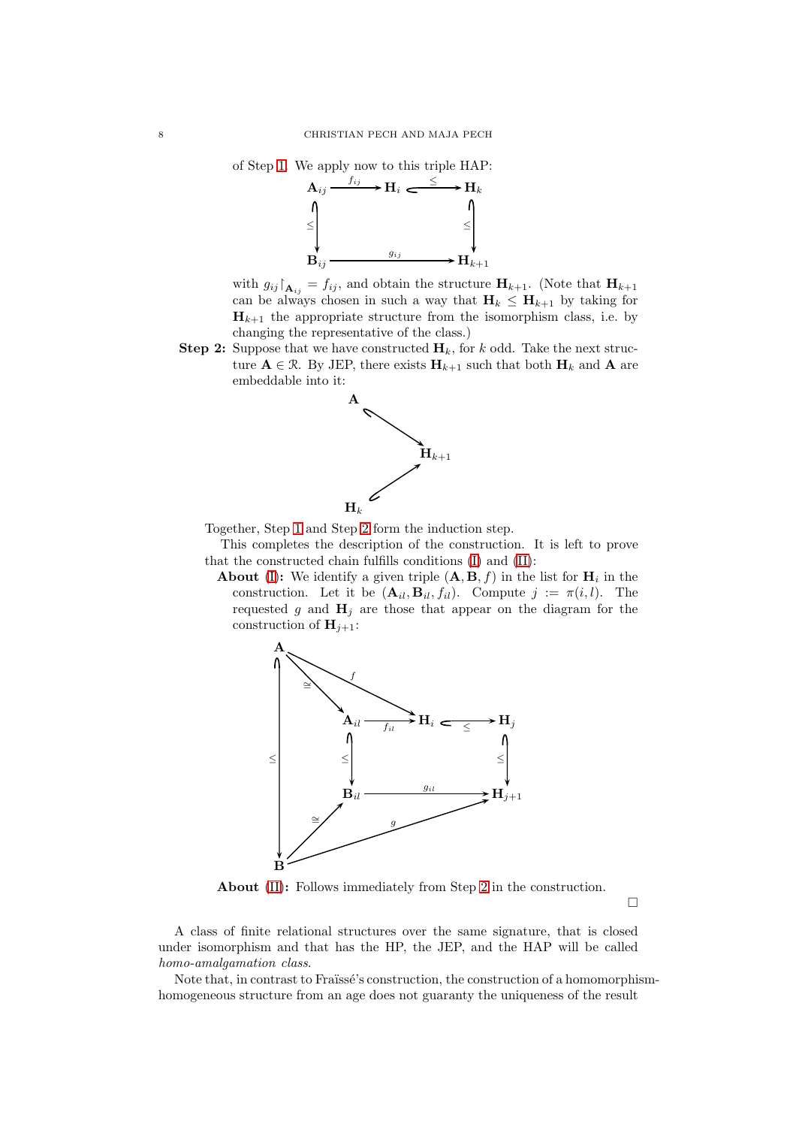$\mathbf{B}_{ij} \longrightarrow \mathbf{H}_{k+1}$ 

gij



with  $g_{ij} \upharpoonright_{\mathbf{A}_{ij}} = f_{ij}$ , and obtain the structure  $\mathbf{H}_{k+1}$ . (Note that  $\mathbf{H}_{k+1}$ can be always chosen in such a way that  $H_k \n\t\le H_{k+1}$  by taking for  $\mathbf{H}_{k+1}$  the appropriate structure from the isomorphism class, i.e. by changing the representative of the class.)

<span id="page-7-0"></span>**Step 2:** Suppose that we have constructed  $\mathbf{H}_k$ , for k odd. Take the next structure  $A \in \mathcal{R}$ . By JEP, there exists  $H_{k+1}$  such that both  $H_k$  and A are embeddable into it:



Together, Step [1](#page-6-2) and Step [2](#page-7-0) form the induction step.

This completes the description of the construction. It is left to prove that the constructed chain fulfills conditions [\(I\)](#page-6-1) and [\(II\)](#page-6-0):

**About** [\(I\)](#page-6-1): We identify a given triple  $(A, B, f)$  in the list for  $H_i$  in the construction. Let it be  $(\mathbf{A}_{il}, \mathbf{B}_{il}, f_{il})$ . Compute  $j := \pi(i, l)$ . The requested g and  $H_j$  are those that appear on the diagram for the construction of  $\mathbf{H}_{i+1}$ :



About [\(II\)](#page-6-0): Follows immediately from Step [2](#page-7-0) in the construction.

 $\Box$ 

A class of finite relational structures over the same signature, that is closed under isomorphism and that has the HP, the JEP, and the HAP will be called *homo-amalgamation class*.

Note that, in contrast to Fraïssé's construction, the construction of a homomorphismhomogeneous structure from an age does not guaranty the uniqueness of the result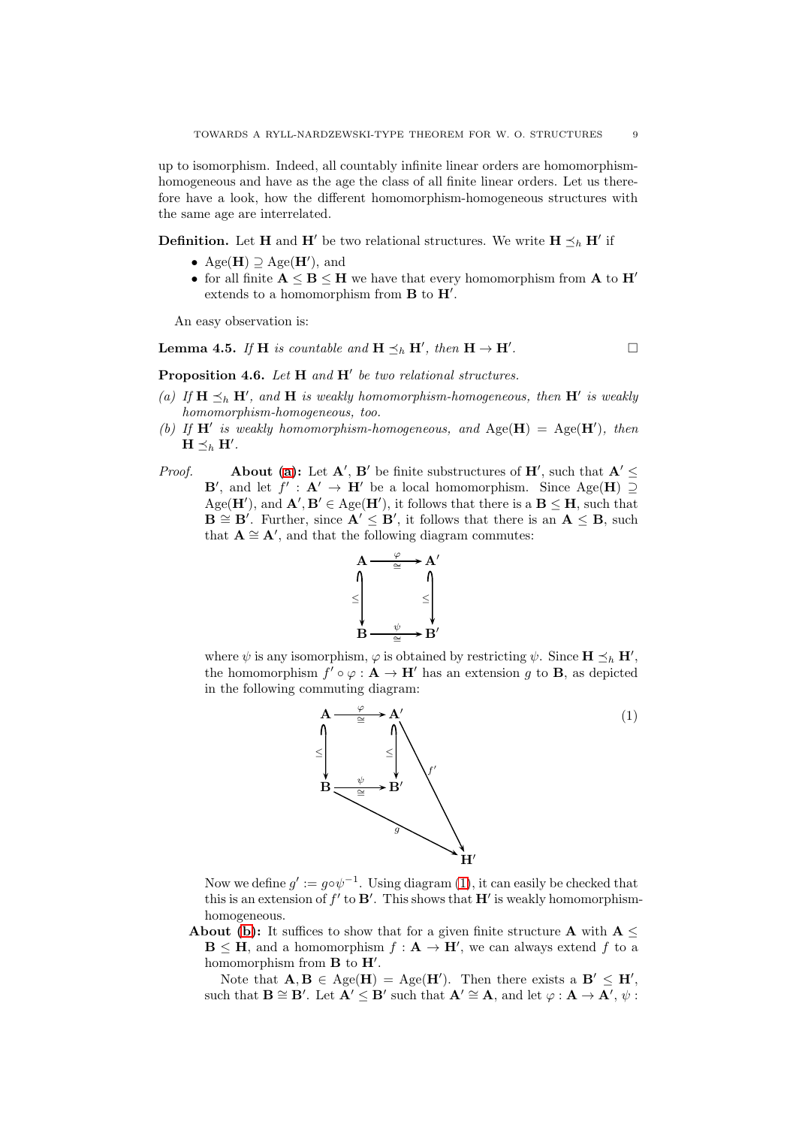up to isomorphism. Indeed, all countably infinite linear orders are homomorphismhomogeneous and have as the age the class of all finite linear orders. Let us therefore have a look, how the different homomorphism-homogeneous structures with the same age are interrelated.

**Definition.** Let **H** and **H'** be two relational structures. We write  $H \preceq_h H'$  if

- Age( $\mathbf{H}$ )  $\supseteq$  Age( $\mathbf{H}'$ ), and
- for all finite  $A \leq B \leq H$  we have that every homomorphism from A to H<sup>'</sup> extends to a homomorphism from  $B$  to  $H'$ .

An easy observation is:

#### **Lemma 4.5.** *If* **H** *is countable and*  $\mathbf{H} \preceq_h \mathbf{H}'$ *, then*  $\mathbf{H} \to \mathbf{H}'$ *.*

<span id="page-8-0"></span>Proposition 4.6. *Let* H *and* H′ *be two relational structures.*

- (a) If  $H \leq_h H'$ , and H is weakly homomorphism-homogeneous, then  $H'$  is weakly *homomorphism-homogeneous, too.*
- <span id="page-8-2"></span>(b) If  $H'$  is weakly homomorphism-homogeneous, and  $Age(H) = Age(H')$ , then  $\mathbf{H} \preceq_h \mathbf{H}'$ .
- *Proof.* About [\(a\)](#page-8-0): Let  $A'$ ,  $B'$  be finite substructures of  $H'$ , such that  $A' \leq$ **B'**, and let  $f' : A' \to H'$  be a local homomorphism. Since Age(**H**) 2 Age( $\mathbf{H}'$ ), and  $\mathbf{A}', \mathbf{B}' \in \text{Age}(\mathbf{H}')$ , it follows that there is a  $\mathbf{B} \leq \mathbf{H}$ , such that  $\mathbf{B} \cong \mathbf{B}'$ . Further, since  $\mathbf{A}' \leq \mathbf{B}'$ , it follows that there is an  $\mathbf{A} \leq \mathbf{B}$ , such that  $\mathbf{A} \cong \mathbf{A}'$ , and that the following diagram commutes:



where  $\psi$  is any isomorphism,  $\varphi$  is obtained by restricting  $\psi$ . Since  $\mathbf{H} \preceq_h \mathbf{H}'$ , the homomorphism  $f' \circ \varphi : \mathbf{A} \to \mathbf{H}'$  has an extension g to **B**, as depicted in the following commuting diagram:

<span id="page-8-1"></span>

Now we define  $g' := g \circ \psi^{-1}$ . Using diagram [\(1\)](#page-8-1), it can easily be checked that this is an extension of  $f'$  to  $\mathbf{B}'$ . This shows that  $\mathbf{H}'$  is weakly homomorphismhomogeneous.

About [\(b\)](#page-8-2): It suffices to show that for a given finite structure A with  $A \leq$  $\mathbf{B} \leq \mathbf{H}$ , and a homomorphism  $f: \mathbf{A} \to \mathbf{H}'$ , we can always extend f to a homomorphism from  $B$  to  $H'$ .

Note that  $\mathbf{A}, \mathbf{B} \in \text{Age}(\mathbf{H}) = \text{Age}(\mathbf{H}')$ . Then there exists a  $\mathbf{B}' \leq \mathbf{H}'$ , such that  $\mathbf{B} \cong \mathbf{B}'$ . Let  $\mathbf{A}' \leq \mathbf{B}'$  such that  $\mathbf{A}' \cong \mathbf{A}$ , and let  $\varphi : \mathbf{A} \to \mathbf{A}'$ ,  $\psi$ :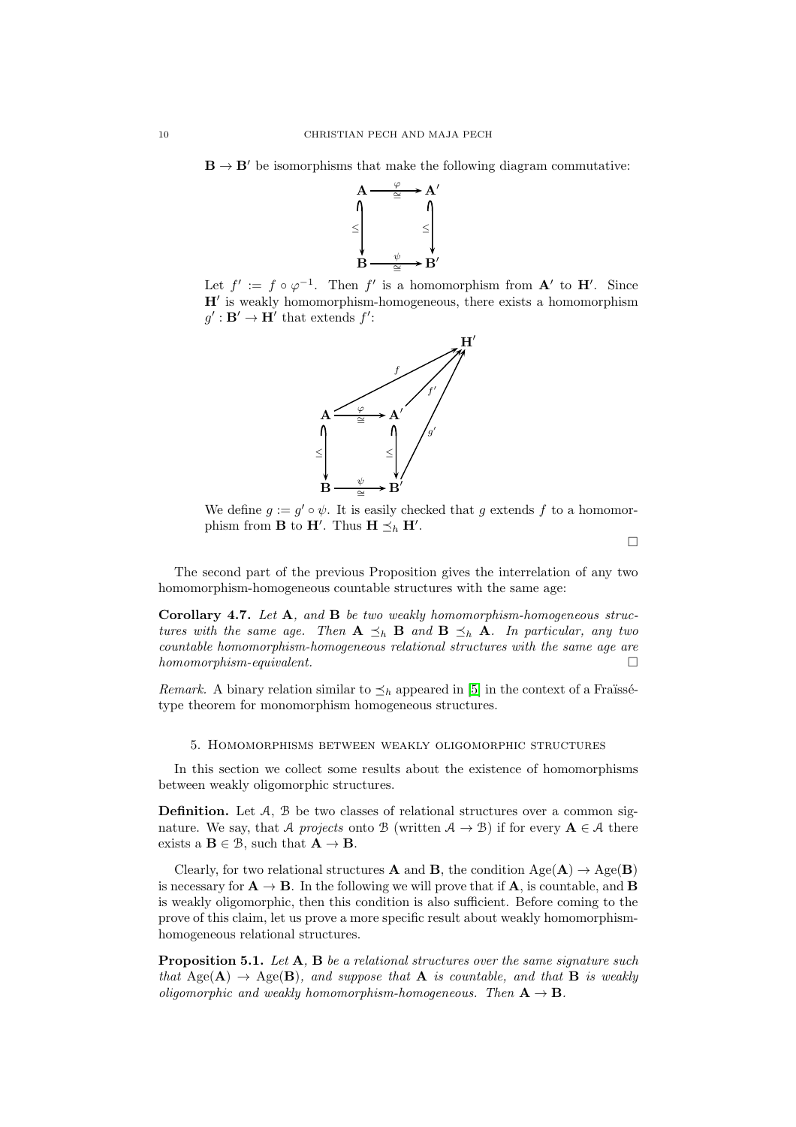$\mathbf{B} \to \mathbf{B}'$  be isomorphisms that make the following diagram commutative:



Let  $f' := f \circ \varphi^{-1}$ . Then f' is a homomorphism from  $\mathbf{A}'$  to  $\mathbf{H}'$ . Since H′ is weakly homomorphism-homogeneous, there exists a homomorphism  $g' : \mathbf{B'} \to \mathbf{H'}$  that extends  $f'$ :



We define  $g := g' \circ \psi$ . It is easily checked that g extends f to a homomorphism from **B** to **H'**. Thus **H**  $\preceq_h$  **H'**.

 $\Box$ 

The second part of the previous Proposition gives the interrelation of any two homomorphism-homogeneous countable structures with the same age:

Corollary 4.7. *Let* A*, and* B *be two weakly homomorphism-homogeneous structures with the same age. Then*  $A \preceq_h B$  *and*  $B \preceq_h A$ *. In particular, any two countable homomorphism-homogeneous relational structures with the same age are homomorphism-equivalent.*

*Remark.* A binary relation similar to  $\leq_h$  appeared in [\[5\]](#page-19-1) in the context of a Fraüssétype theorem for monomorphism homogeneous structures.

### <span id="page-9-0"></span>5. Homomorphisms between weakly oligomorphic structures

In this section we collect some results about the existence of homomorphisms between weakly oligomorphic structures.

Definition. Let A, B be two classes of relational structures over a common signature. We say, that A *projects* onto B (written  $A \rightarrow B$ ) if for every  $A \in A$  there exists a  $\mathbf{B} \in \mathcal{B}$ , such that  $\mathbf{A} \to \mathbf{B}$ .

Clearly, for two relational structures **A** and **B**, the condition  $Age(A) \rightarrow Age(B)$ is necessary for  $A \rightarrow B$ . In the following we will prove that if A, is countable, and B is weakly oligomorphic, then this condition is also sufficient. Before coming to the prove of this claim, let us prove a more specific result about weakly homomorphismhomogeneous relational structures.

<span id="page-9-1"></span>Proposition 5.1. *Let* A*,* B *be a relational structures over the same signature such that* Age( $\mathbf{A}$ )  $\rightarrow$  Age( $\mathbf{B}$ )*, and suppose that*  $\mathbf{A}$  *is countable, and that*  $\mathbf{B}$  *is weakly oligomorphic and weakly homomorphism-homogeneous. Then*  $A \rightarrow B$ .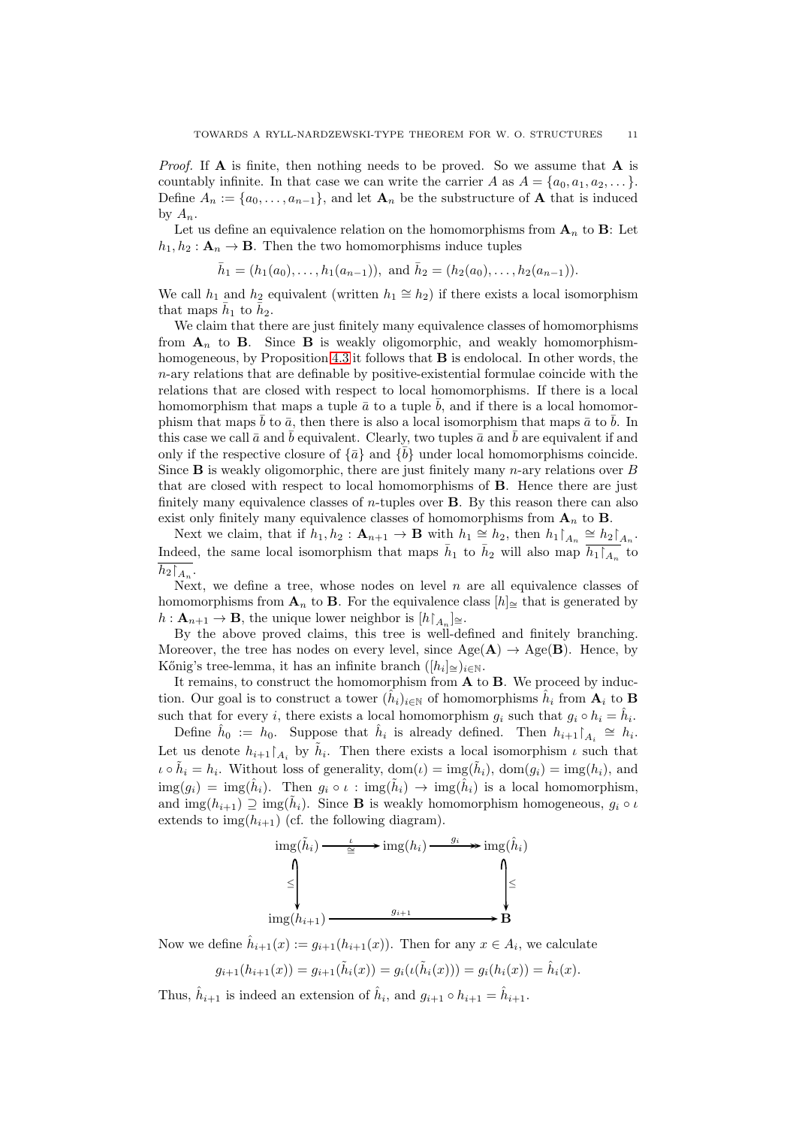*Proof.* If A is finite, then nothing needs to be proved. So we assume that A is countably infinite. In that case we can write the carrier A as  $A = \{a_0, a_1, a_2, \dots\}$ . Define  $A_n := \{a_0, \ldots, a_{n-1}\}\$ , and let  $\mathbf{A}_n$  be the substructure of **A** that is induced by  $A_n$ .

Let us define an equivalence relation on the homomorphisms from  $A_n$  to B: Let  $h_1, h_2 : \mathbf{A}_n \to \mathbf{B}$ . Then the two homomorphisms induce tuples

$$
\bar{h}_1 = (h_1(a_0), \ldots, h_1(a_{n-1})),
$$
 and  $\bar{h}_2 = (h_2(a_0), \ldots, h_2(a_{n-1})).$ 

We call  $h_1$  and  $h_2$  equivalent (written  $h_1 \cong h_2$ ) if there exists a local isomorphism that maps  $\bar{h}_1$  to  $\bar{h}_2$ .

We claim that there are just finitely many equivalence classes of homomorphisms from  $A_n$  to **B**. Since **B** is weakly oligomorphic, and weakly homomorphismhomogeneous, by Proposition [4.3](#page-5-2) it follows that B is endolocal. In other words, the  $n$ -ary relations that are definable by positive-existential formulae coincide with the relations that are closed with respect to local homomorphisms. If there is a local homomorphism that maps a tuple  $\bar{a}$  to a tuple  $\bar{b}$ , and if there is a local homomorphism that maps  $\bar{b}$  to  $\bar{a}$ , then there is also a local isomorphism that maps  $\bar{a}$  to  $\bar{b}$ . In this case we call  $\bar{a}$  and b equivalent. Clearly, two tuples  $\bar{a}$  and b are equivalent if and only if the respective closure of  $\{\bar{a}\}\$  and  $\{\bar{b}\}\$  under local homomorphisms coincide. Since **B** is weakly oligomorphic, there are just finitely many  $n$ -ary relations over B that are closed with respect to local homomorphisms of B. Hence there are just finitely many equivalence classes of  $n$ -tuples over **B**. By this reason there can also exist only finitely many equivalence classes of homomorphisms from  $A_n$  to **B**.

Next we claim, that if  $h_1, h_2 : \mathbf{A}_{n+1} \to \mathbf{B}$  with  $h_1 \cong h_2$ , then  $h_1 \upharpoonright_{A_n} \cong h_2 \upharpoonright_{A_n}$ . Indeed, the same local isomorphism that maps  $\bar{h}_1$  to  $\bar{h}_2$  will also map  $\bar{h}_1\bar{h}_n$  to  $h_2\upharpoonright_{A_n}$ .

Next, we define a tree, whose nodes on level  $n$  are all equivalence classes of homomorphisms from  $\mathbf{A}_n$  to **B**. For the equivalence class  $[h]$ <sub>≅</sub> that is generated by  $h: \mathbf{A}_{n+1} \to \mathbf{B}$ , the unique lower neighbor is  $[h\upharpoonright_{A_n}] \cong$ .

By the above proved claims, this tree is well-defined and finitely branching. Moreover, the tree has nodes on every level, since  $Age(A) \rightarrow Age(B)$ . Hence, by Kőnig's tree-lemma, it has an infinite branch  $([h_i] \leq)_{i \in \mathbb{N}}$ .

It remains, to construct the homomorphism from  $A$  to  $B$ . We proceed by induction. Our goal is to construct a tower  $(\hat{h}_i)_{i \in \mathbb{N}}$  of homomorphisms  $\hat{h}_i$  from  $\mathbf{A}_i$  to **B** such that for every *i*, there exists a local homomorphism  $g_i$  such that  $g_i \circ h_i = \hat{h}_i$ .

Define  $\hat{h}_0 := h_0$ . Suppose that  $\hat{h}_i$  is already defined. Then  $h_{i+1} \upharpoonright_{A_i} \cong h_i$ . Let us denote  $h_{i+1}\upharpoonright_{A_i}$  by  $\tilde{h}_i$ . Then there exists a local isomorphism  $\iota$  such that  $\iota \circ \tilde{h}_i = h_i$ . Without loss of generality,  $\text{dom}(\iota) = \text{img}(\tilde{h}_i)$ ,  $\text{dom}(g_i) = \text{img}(h_i)$ , and  $\text{img}(g_i) = \text{img}(\hat{h}_i)$ . Then  $g_i \circ \iota : \text{img}(\tilde{h}_i) \to \text{img}(\hat{h}_i)$  is a local homomorphism, and  $\text{img}(h_{i+1}) \supseteq \text{img}(\tilde{h}_i)$ . Since **B** is weakly homomorphism homogeneous,  $g_i \circ \iota$ extends to  $img(h_{i+1})$  (cf. the following diagram).



Now we define  $\hat{h}_{i+1}(x) := g_{i+1}(h_{i+1}(x))$ . Then for any  $x \in A_i$ , we calculate

$$
g_{i+1}(h_{i+1}(x)) = g_{i+1}(\tilde{h}_i(x)) = g_i(\iota(\tilde{h}_i(x))) = g_i(h_i(x)) = \hat{h}_i(x).
$$

Thus,  $\hat{h}_{i+1}$  is indeed an extension of  $\hat{h}_i$ , and  $g_{i+1} \circ h_{i+1} = \hat{h}_{i+1}$ .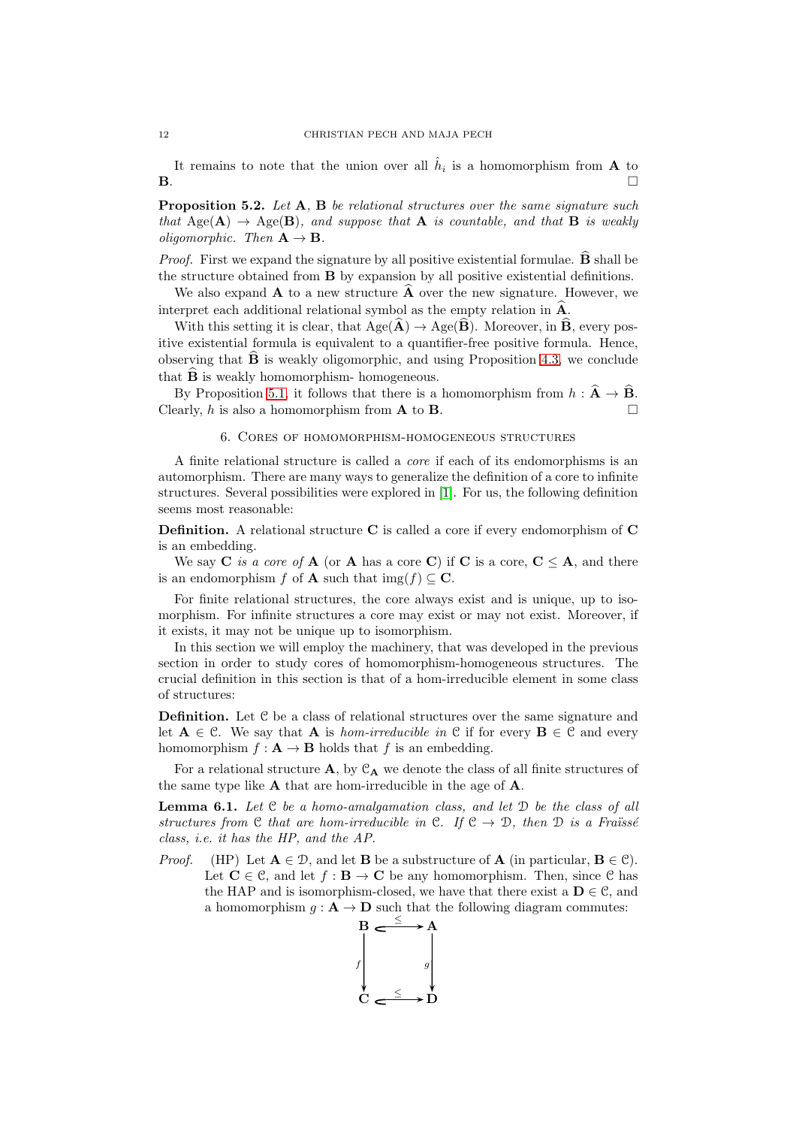It remains to note that the union over all  $\hat{h}_i$  is a homomorphism from **A** to  $\mathbf{B}$ .

<span id="page-11-1"></span>Proposition 5.2. *Let* A*,* B *be relational structures over the same signature such that*  $Aee(A) \rightarrow Aee(B)$ *, and suppose that* A *is countable, and that* B *is weakly oligomorphic.* Then  $A \rightarrow B$ .

*Proof.* First we expand the signature by all positive existential formulae.  $\widehat{\mathbf{B}}$  shall be the structure obtained from B by expansion by all positive existential definitions.

We also expand  $\bf{A}$  to a new structure  $\bf{A}$  over the new signature. However, we interpret each additional relational symbol as the empty relation in  $\widehat{A}$ .

With this setting it is clear, that  $Age(\mathbf{A}) \rightarrow Age(\mathbf{B})$ . Moreover, in **B**, every positive existential formula is equivalent to a quantifier-free positive formula. Hence, observing that  $\hat{\mathbf{B}}$  is weakly oligomorphic, and using Proposition [4.3,](#page-5-2) we conclude that  $\widehat{B}$  is weakly homomorphism- homogeneous.

<span id="page-11-0"></span>By Proposition [5.1,](#page-9-1) it follows that there is a homomorphism from  $h : \hat{A} \to \hat{B}$ . Clearly,  $h$  is also a homomorphism from  $A$  to  $B$ .

### 6. Cores of homomorphism-homogeneous structures

A finite relational structure is called a *core* if each of its endomorphisms is an automorphism. There are many ways to generalize the definition of a core to infinite structures. Several possibilities were explored in [\[1\]](#page-19-21). For us, the following definition seems most reasonable:

Definition. A relational structure C is called a core if every endomorphism of C is an embedding.

We say  $C$  *is a core of*  $A$  (or  $A$  has a core  $C$ ) if  $C$  is a core,  $C \leq A$ , and there is an endomorphism f of **A** such that img $(f) \subset \mathbf{C}$ .

For finite relational structures, the core always exist and is unique, up to isomorphism. For infinite structures a core may exist or may not exist. Moreover, if it exists, it may not be unique up to isomorphism.

In this section we will employ the machinery, that was developed in the previous section in order to study cores of homomorphism-homogeneous structures. The crucial definition in this section is that of a hom-irreducible element in some class of structures:

Definition. Let C be a class of relational structures over the same signature and let  $A \in \mathcal{C}$ . We say that A is *hom-irreducible in*  $\mathcal{C}$  if for every  $B \in \mathcal{C}$  and every homomorphism  $f: \mathbf{A} \to \mathbf{B}$  holds that f is an embedding.

For a relational structure  $\bf{A}$ , by  $\mathcal{C}_{\bf{A}}$  we denote the class of all finite structures of the same type like A that are hom-irreducible in the age of A.

Lemma 6.1. *Let* C *be a homo-amalgamation class, and let* D *be the class of all structures from* C *that are hom-irreducible in* C. If  $C \rightarrow D$ , *then* D *is a Fraüsse class, i.e. it has the HP, and the AP.*

*Proof.* (HP) Let  $A \in \mathcal{D}$ , and let **B** be a substructure of **A** (in particular,  $B \in \mathcal{C}$ ). Let  $\mathbf{C} \in \mathcal{C}$ , and let  $f : \mathbf{B} \to \mathbf{C}$  be any homomorphism. Then, since  $\mathcal{C}$  has the HAP and is isomorphism-closed, we have that there exist a  $D \in \mathcal{C}$ , and a homomorphism  $g : A \to D$  such that the following diagram commutes:

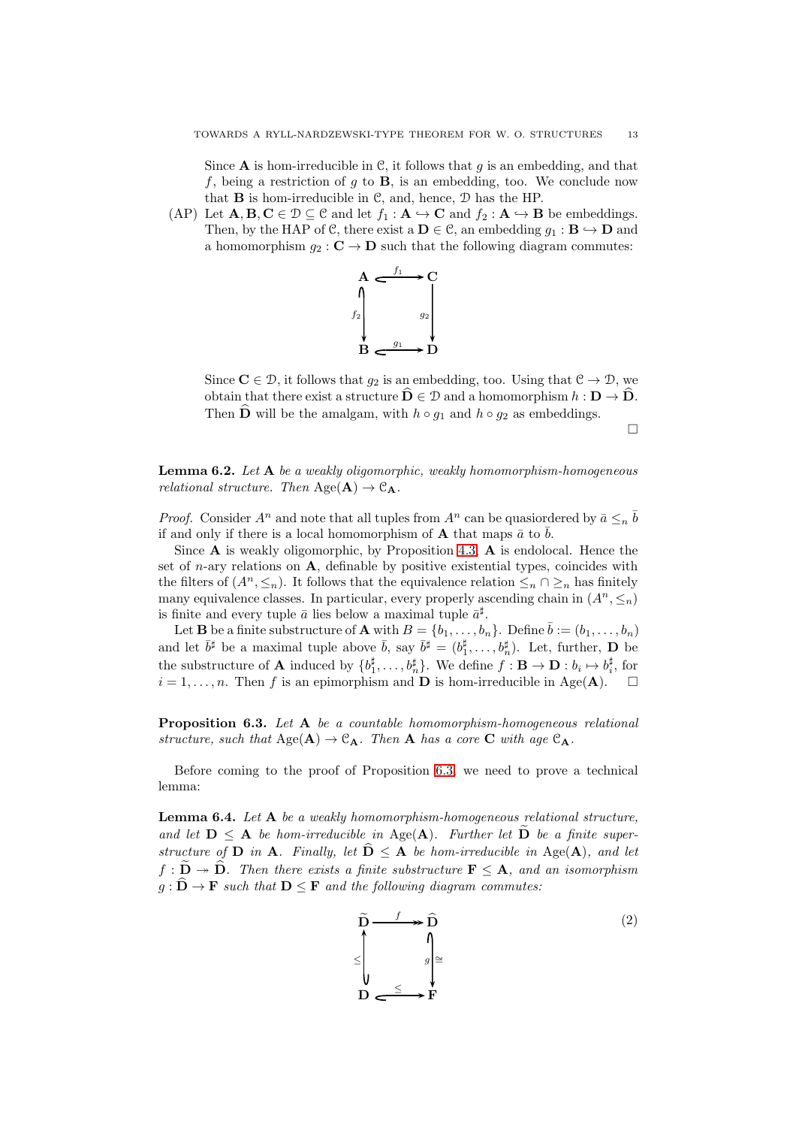Since  $A$  is hom-irreducible in  $C$ , it follows that g is an embedding, and that f, being a restriction of g to  $\bf{B}$ , is an embedding, too. We conclude now that  $\bf{B}$  is hom-irreducible in  $\mathcal{C}$ , and, hence,  $\mathcal{D}$  has the HP.

(AP) Let  $\mathbf{A}, \mathbf{B}, \mathbf{C} \in \mathcal{D} \subseteq \mathcal{C}$  and let  $f_1 : \mathbf{A} \hookrightarrow \mathbf{C}$  and  $f_2 : \mathbf{A} \hookrightarrow \mathbf{B}$  be embeddings. Then, by the HAP of C, there exist a  $\mathbf{D} \in \mathcal{C}$ , an embedding  $q_1 : \mathbf{B} \hookrightarrow \mathbf{D}$  and a homomorphism  $q_2 : \mathbf{C} \to \mathbf{D}$  such that the following diagram commutes:



Since  $C \in \mathcal{D}$ , it follows that  $g_2$  is an embedding, too. Using that  $\mathcal{C} \to \mathcal{D}$ , we obtain that there exist a structure  $D \in \mathcal{D}$  and a homomorphism  $h : D \to D$ . Then  $\widehat{\mathbf{D}}$  will be the amalgam, with  $h \circ g_1$  and  $h \circ g_2$  as embeddings.

 $\Box$ 

Lemma 6.2. *Let* A *be a weakly oligomorphic, weakly homomorphism-homogeneous relational structure. Then*  $Age(A) \rightarrow C_A$ .

*Proof.* Consider  $A^n$  and note that all tuples from  $A^n$  can be quasioned by  $\bar{a} \leq n \bar{b}$ if and only if there is a local homomorphism of **A** that maps  $\bar{a}$  to  $\bar{b}$ .

Since  $\bf{A}$  is weakly oligomorphic, by Proposition [4.3,](#page-5-2)  $\bf{A}$  is endolocal. Hence the set of *n*-ary relations on  $\bf{A}$ , definable by positive existential types, coincides with the filters of  $(A^n, \leq_n)$ . It follows that the equivalence relation  $\leq_n \cap \geq_n$  has finitely many equivalence classes. In particular, every properly ascending chain in  $(A^n, \leq_n)$ is finite and every tuple  $\bar{a}$  lies below a maximal tuple  $\bar{a}^{\sharp}$ .

Let **B** be a finite substructure of **A** with  $B = \{b_1, \ldots, b_n\}$ . Define  $\bar{b} := (b_1, \ldots, b_n)$ and let  $\bar{b}^{\sharp}$  be a maximal tuple above  $\bar{b}$ , say  $\bar{b}^{\sharp} = (b_1^{\sharp}, \ldots, b_n^{\sharp})$ . Let, further, **D** be the substructure of **A** induced by  $\{b_1^{\sharp}, \ldots, b_n^{\sharp}\}$ . We define  $f : \mathbf{B} \to \mathbf{D} : b_i \mapsto b_i^{\sharp}$ , for  $i = 1, \ldots, n$ . Then f is an epimorphism and **D** is hom-irreducible in Age(**A**).  $\Box$ 

<span id="page-12-0"></span>Proposition 6.3. *Let* A *be a countable homomorphism-homogeneous relational structure, such that*  $Age(A) \rightarrow C_A$ *. Then* A *has a core* C *with age*  $C_A$ *.* 

Before coming to the proof of Proposition [6.3,](#page-12-0) we need to prove a technical lemma:

<span id="page-12-2"></span>Lemma 6.4. *Let* A *be a weakly homomorphism-homogeneous relational structure,* and let  $D \leq A$  be hom-irreducible in Age(A). Further let  $\overline{D}$  be a finite super*structure of* **D** *in* **A***.* Finally, let  $\widehat{\mathbf{D}} \leq \mathbf{A}$  *be hom-irreducible in* Age( $\mathbf{A}$ )*, and let*  $f : \mathbf{D} \twoheadrightarrow \mathbf{D}$ *. Then there exists a finite substructure*  $\mathbf{F} \leq \mathbf{A}$ *, and an isomorphism*  $g : \hat{D} \to F$  *such that*  $D \leq F$  *and the following diagram commutes:* 

<span id="page-12-1"></span>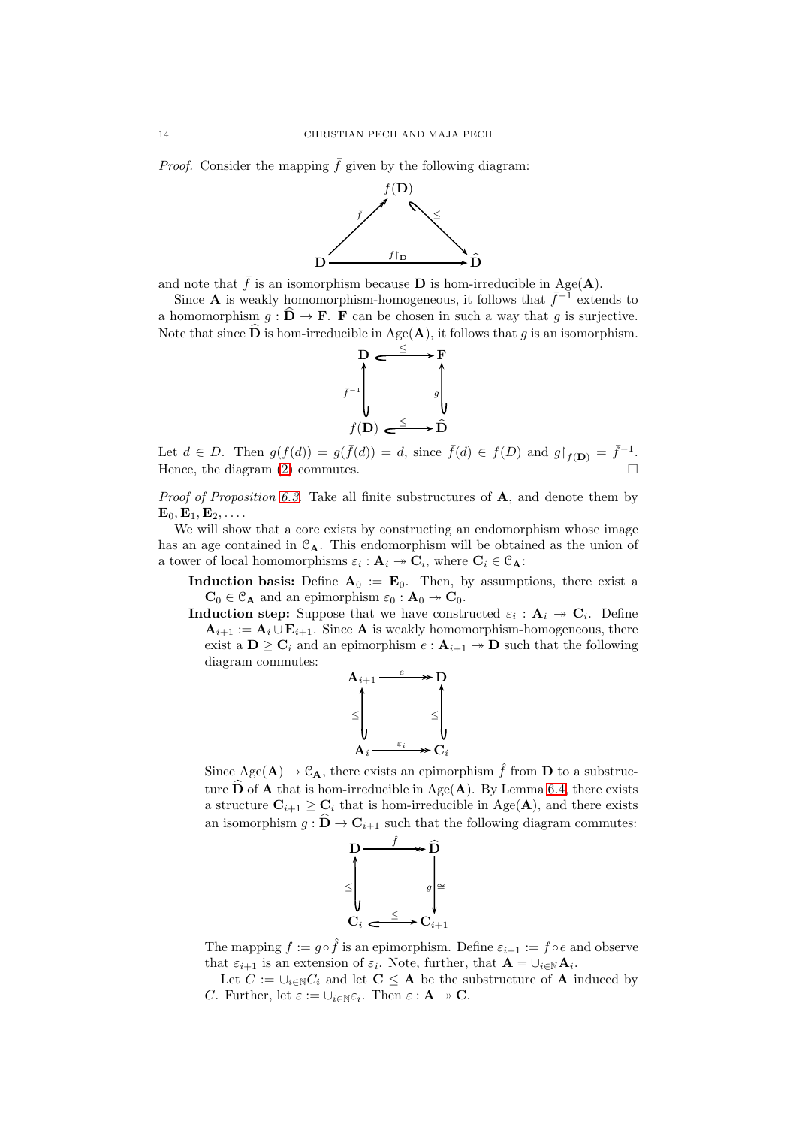*Proof.* Consider the mapping  $\bar{f}$  given by the following diagram:



and note that  $\bar{f}$  is an isomorphism because **D** is hom-irreducible in Age(**A**).

Since **A** is weakly homomorphism-homogeneous, it follows that  $\bar{f}^{-1}$  extends to a homomorphism  $g : \hat{D} \to F$ . F can be chosen in such a way that g is surjective. Note that since **D** is hom-irreducible in Age( $\bf{A}$ ), it follows that q is an isomorphism.



Let  $d \in D$ . Then  $g(f(d)) = g(\bar{f}(d)) = d$ , since  $\bar{f}(d) \in f(D)$  and  $g|_{f(\mathbf{D})} = \bar{f}^{-1}$ . Hence, the diagram  $(2)$  commutes.

*Proof of Proposition [6.3.](#page-12-0)* Take all finite substructures of A, and denote them by  $\mathbf{E}_0, \mathbf{E}_1, \mathbf{E}_2, \ldots$ 

We will show that a core exists by constructing an endomorphism whose image has an age contained in  $\mathcal{C}_{A}$ . This endomorphism will be obtained as the union of a tower of local homomorphisms  $\varepsilon_i : \mathbf{A}_i \to \mathbf{C}_i$ , where  $\mathbf{C}_i \in \mathcal{C}_{\mathbf{A}}$ :

**Induction basis:** Define  $A_0 := E_0$ . Then, by assumptions, there exist a  $\mathbf{C}_0 \in \mathcal{C}_{\mathbf{A}}$  and an epimorphism  $\varepsilon_0 : \mathbf{A}_0 \to \mathbf{C}_0$ .

**Induction step:** Suppose that we have constructed  $\varepsilon_i$  :  $A_i \rightarrow C_i$ . Define  $\mathbf{A}_{i+1} := \mathbf{A}_i \cup \mathbf{E}_{i+1}$ . Since **A** is weakly homomorphism-homogeneous, there exist a  $\mathbf{D} \geq \mathbf{C}_i$  and an epimorphism  $e : \mathbf{A}_{i+1} \to \mathbf{D}$  such that the following diagram commutes:



Since  $Age(A) \rightarrow \mathcal{C}_A$ , there exists an epimorphism  $\hat{f}$  from **D** to a substructure  $\widehat{\mathbf{D}}$  of **A** that is hom-irreducible in Age(**A**). By Lemma [6.4,](#page-12-2) there exists a structure  $\mathbf{C}_{i+1} \geq \mathbf{C}_i$  that is hom-irreducible in Age(A), and there exists an isomorphism  $g : \mathbf{D} \to \mathbf{C}_{i+1}$  such that the following diagram commutes:



The mapping  $f := g \circ \hat{f}$  is an epimorphism. Define  $\varepsilon_{i+1} := f \circ e$  and observe that  $\varepsilon_{i+1}$  is an extension of  $\varepsilon_i$ . Note, further, that  $\mathbf{A} = \cup_{i \in \mathbb{N}} \mathbf{A}_i$ .

Let  $C := \bigcup_{i \in \mathbb{N}} C_i$  and let  $\mathbf{C} \leq \mathbf{A}$  be the substructure of **A** induced by C. Further, let  $\varepsilon := \cup_{i \in \mathbb{N}} \varepsilon_i$ . Then  $\varepsilon : \mathbf{A} \twoheadrightarrow \mathbf{C}$ .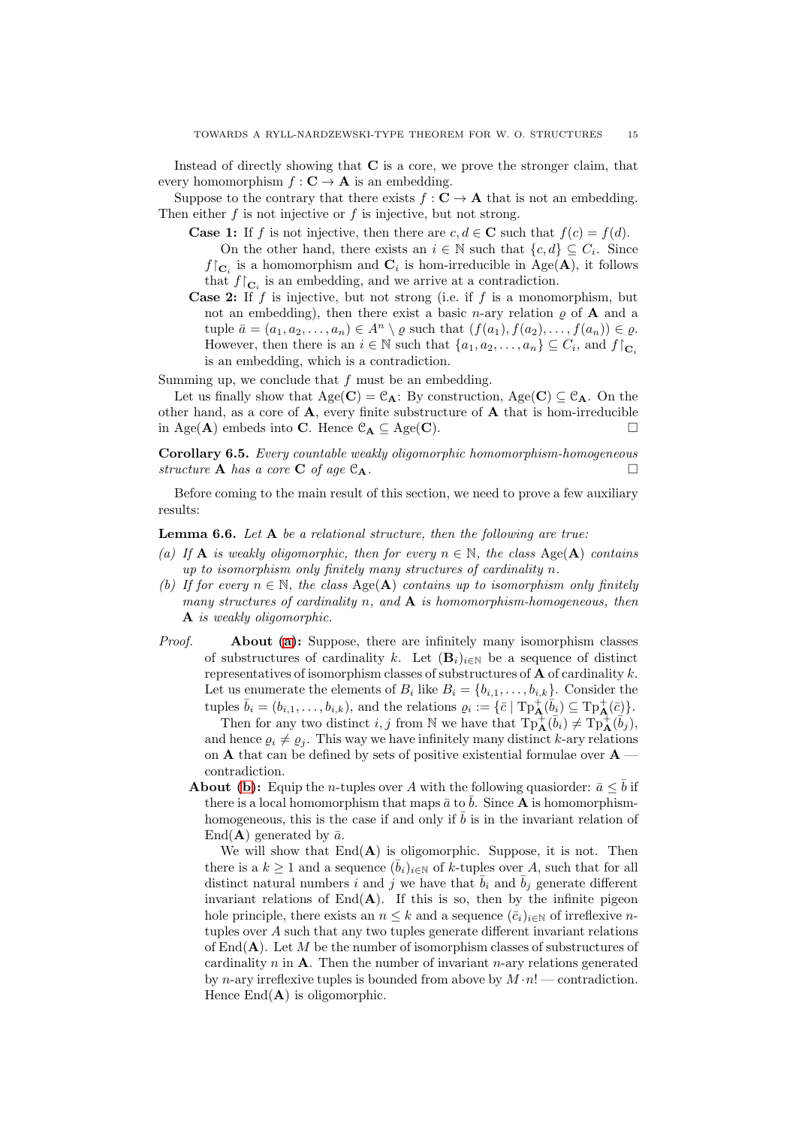Instead of directly showing that  $C$  is a core, we prove the stronger claim, that every homomorphism  $f: \mathbf{C} \to \mathbf{A}$  is an embedding.

Suppose to the contrary that there exists  $f: \mathbf{C} \to \mathbf{A}$  that is not an embedding. Then either  $f$  is not injective or  $f$  is injective, but not strong.

- **Case 1:** If f is not injective, then there are  $c, d \in \mathbb{C}$  such that  $f(c) = f(d)$ . On the other hand, there exists an  $i \in \mathbb{N}$  such that  $\{c, d\} \subseteq C_i$ . Since  $f\vert_{\mathbf{C}_i}$  is a homomorphism and  $\mathbf{C}_i$  is hom-irreducible in Age(A), it follows that  $f\upharpoonright_{\mathbf{C}_i}$  is an embedding, and we arrive at a contradiction.
- **Case 2:** If  $f$  is injective, but not strong (i.e. if  $f$  is a monomorphism, but not an embedding), then there exist a basic *n*-ary relation  $\rho$  of **A** and a tuple  $\bar{a} = (a_1, a_2, \ldots, a_n) \in A^n \setminus \varrho$  such that  $(f(a_1), f(a_2), \ldots, f(a_n)) \in \varrho$ . However, then there is an  $i \in \mathbb{N}$  such that  $\{a_1, a_2, \ldots, a_n\} \subseteq C_i$ , and  $f|_{\mathbf{C}_i}$ is an embedding, which is a contradiction.

Summing up, we conclude that  $f$  must be an embedding.

Let us finally show that  $Age(C) = \mathcal{C}_A$ : By construction,  $Age(C) \subseteq \mathcal{C}_A$ . On the other hand, as a core of  $\bf{A}$ , every finite substructure of  $\bf{A}$  that is hom-irreducible in Age( $\mathbf{A}$ ) embeds into C. Hence  $\mathcal{C}_{\mathbf{A}} \subseteq \mathrm{Age}(\mathbf{C})$ .

<span id="page-14-3"></span>Corollary 6.5. *Every countable weakly oligomorphic homomorphism-homogeneous structure* **A** *has a core* **C** *of age*  $C_A$ *.* 

Before coming to the main result of this section, we need to prove a few auxiliary results:

<span id="page-14-2"></span><span id="page-14-0"></span>Lemma 6.6. *Let* A *be a relational structure, then the following are true:*

- *(a)* If **A** *is weakly oligomorphic, then for every*  $n \in \mathbb{N}$ , the class Age(**A**) *contains up to isomorphism only finitely many structures of cardinality* n*.*
- <span id="page-14-1"></span>*(b)* If for every  $n \in \mathbb{N}$ , the class  $Age(A)$  contains up to isomorphism only finitely *many structures of cardinality* n*, and* A *is homomorphism-homogeneous, then* A *is weakly oligomorphic.*
- *Proof.* About [\(a\)](#page-14-0): Suppose, there are infinitely many isomorphism classes of substructures of cardinality k. Let  $(\mathbf{B}_i)_{i\in\mathbb{N}}$  be a sequence of distinct representatives of isomorphism classes of substructures of  $A$  of cardinality k. Let us enumerate the elements of  $B_i$  like  $B_i = \{b_{i,1}, \ldots, b_{i,k}\}$ . Consider the tuples  $\bar{b}_i = (b_{i,1}, \ldots, b_{i,k})$ , and the relations  $\varrho_i := {\{\bar{c} \mid \text{Tp}^+_{\mathbf{A}}(\bar{b}_i) \subseteq \text{Tp}^+_{\mathbf{A}}(\bar{c})\}}.$ Then for any two distinct i, j from N we have that  $\text{Tp}^+_{\mathbf{A}}(\bar{b}_i) \neq \text{Tp}^+_{\mathbf{A}}(\bar{b}_j)$ , and hence  $\rho_i \neq \rho_j$ . This way we have infinitely many distinct k-ary relations on **A** that can be defined by sets of positive existential formulae over  $A$  contradiction.
	- **About [\(b\)](#page-14-1):** Equip the *n*-tuples over A with the following quasionedring  $\bar{a} \leq \bar{b}$  if there is a local homomorphism that maps  $\bar{a}$  to  $\bar{b}$ . Since **A** is homomorphismhomogeneous, this is the case if and only if  $\overline{b}$  is in the invariant relation of End(**A**) generated by  $\bar{a}$ .

We will show that  $End(A)$  is oligomorphic. Suppose, it is not. Then there is a  $k \geq 1$  and a sequence  $(b_i)_{i\in\mathbb{N}}$  of k-tuples over A, such that for all distinct natural numbers i and j we have that  $\bar{b}_i$  and  $\bar{b}_j$  generate different invariant relations of  $\text{End}(\mathbf{A})$ . If this is so, then by the infinite pigeon hole principle, there exists an  $n \leq k$  and a sequence  $(\bar{c}_i)_{i\in\mathbb{N}}$  of irreflexive ntuples over A such that any two tuples generate different invariant relations of  $\text{End}(\mathbf{A})$ . Let M be the number of isomorphism classes of substructures of cardinality  $n$  in  $A$ . Then the number of invariant  $n$ -ary relations generated by *n*-ary irreflexive tuples is bounded from above by  $M \cdot n!$  — contradiction. Hence  $\text{End}(\mathbf{A})$  is oligomorphic.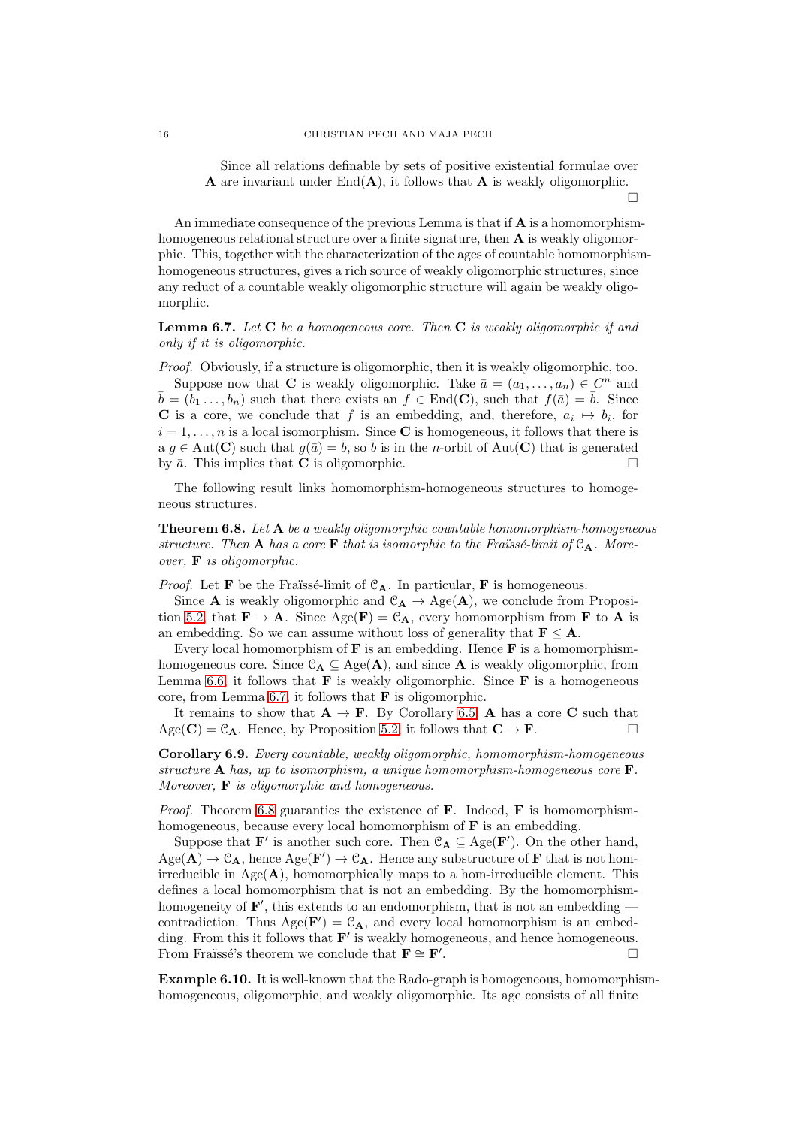Since all relations definable by sets of positive existential formulae over A are invariant under  $\text{End}(\mathbf{A})$ , it follows that A is weakly oligomorphic.

 $\Box$ 

An immediate consequence of the previous Lemma is that if  $A$  is a homomorphismhomogeneous relational structure over a finite signature, then **A** is weakly oligomorphic. This, together with the characterization of the ages of countable homomorphismhomogeneous structures, gives a rich source of weakly oligomorphic structures, since any reduct of a countable weakly oligomorphic structure will again be weakly oligomorphic.

<span id="page-15-0"></span>Lemma 6.7. *Let* C *be a homogeneous core. Then* C *is weakly oligomorphic if and only if it is oligomorphic.*

*Proof.* Obviously, if a structure is oligomorphic, then it is weakly oligomorphic, too. Suppose now that **C** is weakly oligomorphic. Take  $\bar{a} = (a_1, \ldots, a_n) \in C^n$  and  $\bar{b} = (b_1 \ldots, b_n)$  such that there exists an  $f \in End(\mathbf{C})$ , such that  $f(\bar{a}) = \bar{b}$ . Since **C** is a core, we conclude that f is an embedding, and, therefore,  $a_i \mapsto b_i$ , for  $i = 1, \ldots, n$  is a local isomorphism. Since C is homogeneous, it follows that there is a  $g \in \text{Aut}(\mathbf{C})$  such that  $g(\bar{a}) = \bar{b}$ , so  $\bar{b}$  is in the *n*-orbit of Aut(**C**) that is generated by  $\bar{a}$ . This implies that **C** is oligomorphic.

The following result links homomorphism-homogeneous structures to homogeneous structures.

<span id="page-15-1"></span>Theorem 6.8. *Let* A *be a weakly oligomorphic countable homomorphism-homogeneous structure. Then* **A** *has a core* **F** *that is isomorphic to the Fraïssé-limit of*  $C_A$ *. Moreover,* F *is oligomorphic.*

*Proof.* Let **F** be the Fraïssé-limit of  $C_A$ . In particular, **F** is homogeneous.

Since **A** is weakly oligomorphic and  $\mathcal{C}_{\mathbf{A}} \to \text{Age}(\mathbf{A})$ , we conclude from Proposi-tion [5.2,](#page-11-1) that  $\mathbf{F} \to \mathbf{A}$ . Since  $\text{Age}(\mathbf{F}) = \mathcal{C}_{\mathbf{A}}$ , every homomorphism from **F** to **A** is an embedding. So we can assume without loss of generality that  $\mathbf{F} \leq \mathbf{A}$ .

Every local homomorphism of  $\bf{F}$  is an embedding. Hence  $\bf{F}$  is a homomorphismhomogeneous core. Since  $\mathcal{C}_{\mathbf{A}} \subseteq \text{Age}(\mathbf{A})$ , and since **A** is weakly oligomorphic, from Lemma [6.6,](#page-14-2) it follows that  $\bf{F}$  is weakly oligomorphic. Since  $\bf{F}$  is a homogeneous core, from Lemma [6.7,](#page-15-0) it follows that  $\bf{F}$  is oligomorphic.

It remains to show that  $\mathbf{A} \to \mathbf{F}$ . By Corollary [6.5,](#page-14-3) A has a core C such that  $Age(C) = C_A$ . Hence, by Proposition [5.2,](#page-11-1) it follows that  $C \rightarrow F$ .

Corollary 6.9. *Every countable, weakly oligomorphic, homomorphism-homogeneous structure* A *has, up to isomorphism, a unique homomorphism-homogeneous core* F*. Moreover,* F *is oligomorphic and homogeneous.*

*Proof.* Theorem [6.8](#page-15-1) guaranties the existence of  $\bf{F}$ . Indeed,  $\bf{F}$  is homomorphismhomogeneous, because every local homomorphism of  $\bf{F}$  is an embedding.

Suppose that **F'** is another such core. Then  $\mathcal{C}_{\mathbf{A}} \subseteq \text{Age}(\mathbf{F}')$ . On the other hand,  $Age(A) \rightarrow C_A$ , hence  $Age(F') \rightarrow C_A$ . Hence any substructure of F that is not homirreducible in  $Age(A)$ , homomorphically maps to a hom-irreducible element. This defines a local homomorphism that is not an embedding. By the homomorphismhomogeneity of  $\mathbf{F}'$ , this extends to an endomorphism, that is not an embedding  $$ contradiction. Thus  $Age(F') = C_A$ , and every local homomorphism is an embedding. From this it follows that  $F'$  is weakly homogeneous, and hence homogeneous. From Fraüssé's theorem we conclude that  $\mathbf{F} \cong \mathbf{F}'$ . . — Первый процесс в поставке и программа в собстании в собстании в собстании в собстании в собстании в собста<br>В собстании в собстании в собстании в собстании в собстании в собстании в собстании в собстании в собстании в

Example 6.10. It is well-known that the Rado-graph is homogeneous, homomorphismhomogeneous, oligomorphic, and weakly oligomorphic. Its age consists of all finite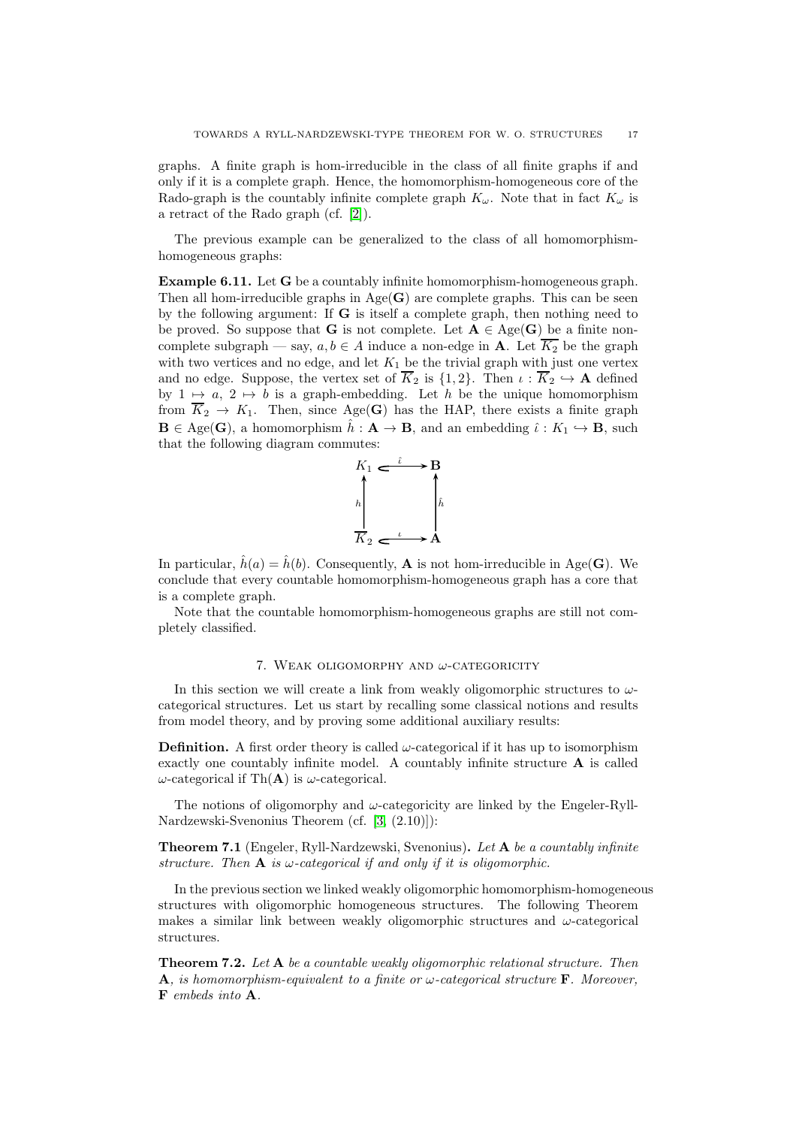graphs. A finite graph is hom-irreducible in the class of all finite graphs if and only if it is a complete graph. Hence, the homomorphism-homogeneous core of the Rado-graph is the countably infinite complete graph  $K_{\omega}$ . Note that in fact  $K_{\omega}$  is a retract of the Rado graph (cf. [\[2\]](#page-19-22)).

The previous example can be generalized to the class of all homomorphismhomogeneous graphs:

<span id="page-16-3"></span>Example 6.11. Let G be a countably infinite homomorphism-homogeneous graph. Then all hom-irreducible graphs in  $Age(G)$  are complete graphs. This can be seen by the following argument: If G is itself a complete graph, then nothing need to be proved. So suppose that **G** is not complete. Let  $A \in \text{Age}(G)$  be a finite noncomplete subgraph — say,  $a, b \in A$  induce a non-edge in **A**. Let  $\overline{K_2}$  be the graph with two vertices and no edge, and let  $K_1$  be the trivial graph with just one vertex and no edge. Suppose, the vertex set of  $\overline{K}_2$  is  $\{1,2\}$ . Then  $\iota : \overline{K}_2 \hookrightarrow A$  defined by  $1 \mapsto a, 2 \mapsto b$  is a graph-embedding. Let h be the unique homomorphism from  $\overline{K}_2 \to K_1$ . Then, since Age(G) has the HAP, there exists a finite graph  $\mathbf{B} \in \text{Age}(\mathbf{G})$ , a homomorphism  $\hat{h}: \mathbf{A} \to \mathbf{B}$ , and an embedding  $\hat{\iota}: K_1 \hookrightarrow \mathbf{B}$ , such that the following diagram commutes:



In particular,  $\hat{h}(a) = \hat{h}(b)$ . Consequently, **A** is not hom-irreducible in Age(**G**). We conclude that every countable homomorphism-homogeneous graph has a core that is a complete graph.

Note that the countable homomorphism-homogeneous graphs are still not completely classified.

# 7. WEAK OLIGOMORPHY AND  $\omega$ -CATEGORICITY

<span id="page-16-0"></span>In this section we will create a link from weakly oligomorphic structures to  $\omega$ categorical structures. Let us start by recalling some classical notions and results from model theory, and by proving some additional auxiliary results:

**Definition.** A first order theory is called  $\omega$ -categorical if it has up to isomorphism exactly one countably infinite model. A countably infinite structure A is called  $ω$ -categorical if Th(**A**) is  $ω$ -categorical.

The notions of oligomorphy and  $\omega$ -categoricity are linked by the Engeler-Ryll-Nardzewski-Svenonius Theorem (cf. [\[3,](#page-19-0) (2.10)]):

<span id="page-16-1"></span>Theorem 7.1 (Engeler, Ryll-Nardzewski, Svenonius). *Let* A *be a countably infinite structure.* Then  $\bf{A}$  *is*  $\omega$ -categorical if and only if it is oligomorphic.

In the previous section we linked weakly oligomorphic homomorphism-homogeneous structures with oligomorphic homogeneous structures. The following Theorem makes a similar link between weakly oligomorphic structures and  $\omega$ -categorical structures.

<span id="page-16-2"></span>Theorem 7.2. *Let* A *be a countable weakly oligomorphic relational structure. Then* A*, is homomorphism-equivalent to a finite or* ω*-categorical structure* F*. Moreover,* F *embeds into* A*.*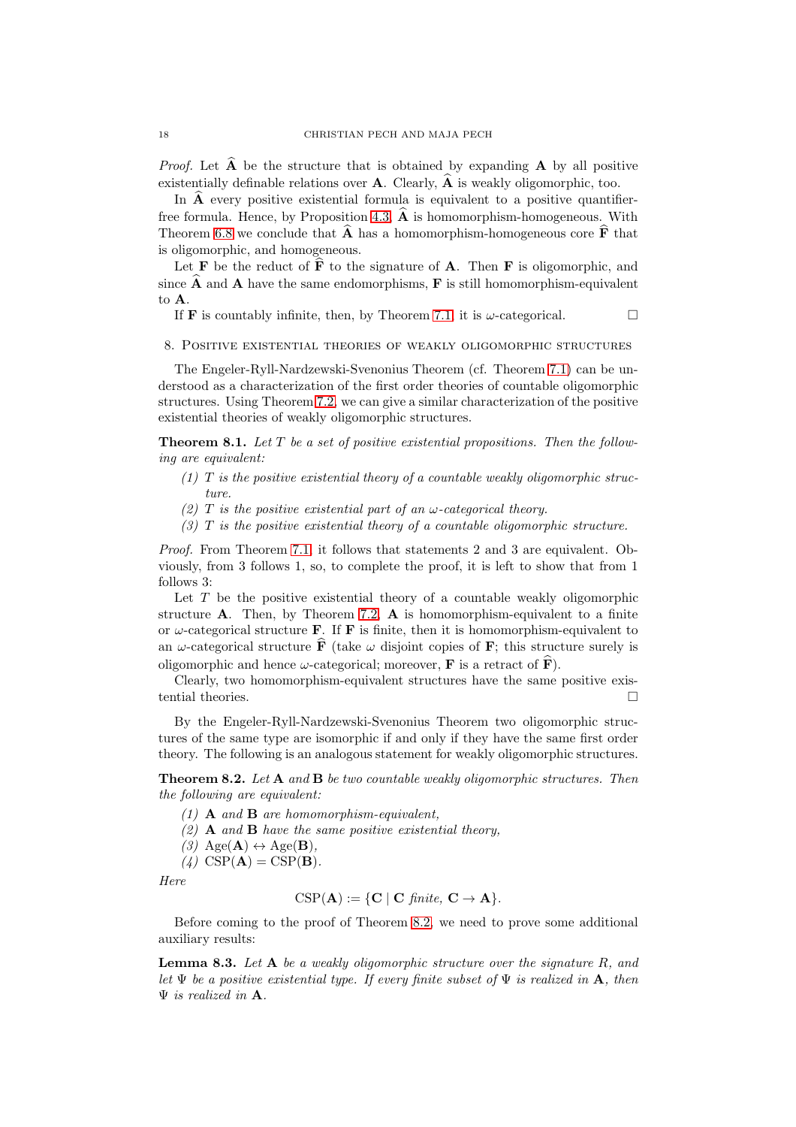*Proof.* Let  $\widehat{A}$  be the structure that is obtained by expanding  $A$  by all positive existentially definable relations over  $\bf{A}$ . Clearly,  $\hat{\bf{A}}$  is weakly oligomorphic, too.

In  $\hat{A}$  every positive existential formula is equivalent to a positive quantifier-free formula. Hence, by Proposition [4.3,](#page-5-2)  $\hat{A}$  is homomorphism-homogeneous. With Theorem [6.8](#page-15-1) we conclude that  $\widehat{A}$  has a homomorphism-homogeneous core  $\widehat{F}$  that is oligomorphic, and homogeneous.

Let **F** be the reduct of  $\hat{\mathbf{F}}$  to the signature of **A**. Then **F** is oligomorphic, and since  $\overline{A}$  and  $\overline{A}$  have the same endomorphisms,  $\overline{F}$  is still homomorphism-equivalent to A.

If **F** is countably infinite, then, by Theorem [7.1,](#page-16-1) it is  $\omega$ -categorical.

<span id="page-17-0"></span>8. Positive existential theories of weakly oligomorphic structures

The Engeler-Ryll-Nardzewski-Svenonius Theorem (cf. Theorem [7.1\)](#page-16-1) can be understood as a characterization of the first order theories of countable oligomorphic structures. Using Theorem [7.2,](#page-16-2) we can give a similar characterization of the positive existential theories of weakly oligomorphic structures.

Theorem 8.1. *Let* T *be a set of positive existential propositions. Then the following are equivalent:*

- *(1)* T *is the positive existential theory of a countable weakly oligomorphic structure.*
- *(2)* T *is the positive existential part of an* ω*-categorical theory.*
- *(3)* T *is the positive existential theory of a countable oligomorphic structure.*

*Proof.* From Theorem [7.1,](#page-16-1) it follows that statements 2 and 3 are equivalent. Obviously, from 3 follows 1, so, to complete the proof, it is left to show that from 1 follows 3:

Let  $T$  be the positive existential theory of a countable weakly oligomorphic structure  $A$ . Then, by Theorem [7.2,](#page-16-2)  $A$  is homomorphism-equivalent to a finite or  $\omega$ -categorical structure **F**. If **F** is finite, then it is homomorphism-equivalent to an  $\omega$ -categorical structure  $\hat{F}$  (take  $\omega$  disjoint copies of **F**; this structure surely is oligomorphic and hence  $\omega$ -categorical; moreover, **F** is a retract of  $\hat{F}$ ).

Clearly, two homomorphism-equivalent structures have the same positive existential theories.

By the Engeler-Ryll-Nardzewski-Svenonius Theorem two oligomorphic structures of the same type are isomorphic if and only if they have the same first order theory. The following is an analogous statement for weakly oligomorphic structures.

<span id="page-17-1"></span>Theorem 8.2. *Let* A *and* B *be two countable weakly oligomorphic structures. Then the following are equivalent:*

- *(1)* A *and* B *are homomorphism-equivalent,*
- *(2)* A *and* B *have the same positive existential theory,*
- $(3)$  Age(**A**)  $\leftrightarrow$  Age(**B**).
- $(4)$  CSP( $\mathbf{A}$ ) = CSP( $\mathbf{B}$ ).

*Here*

$$
CSP(\mathbf{A}) := \{ \mathbf{C} \mid \mathbf{C} \text{ finite, } \mathbf{C} \to \mathbf{A} \}.
$$

Before coming to the proof of Theorem [8.2,](#page-17-1) we need to prove some additional auxiliary results:

<span id="page-17-2"></span>Lemma 8.3. *Let* A *be a weakly oligomorphic structure over the signature* R*, and let* Ψ *be a positive existential type. If every finite subset of* Ψ *is realized in* A*, then* Ψ *is realized in* A*.*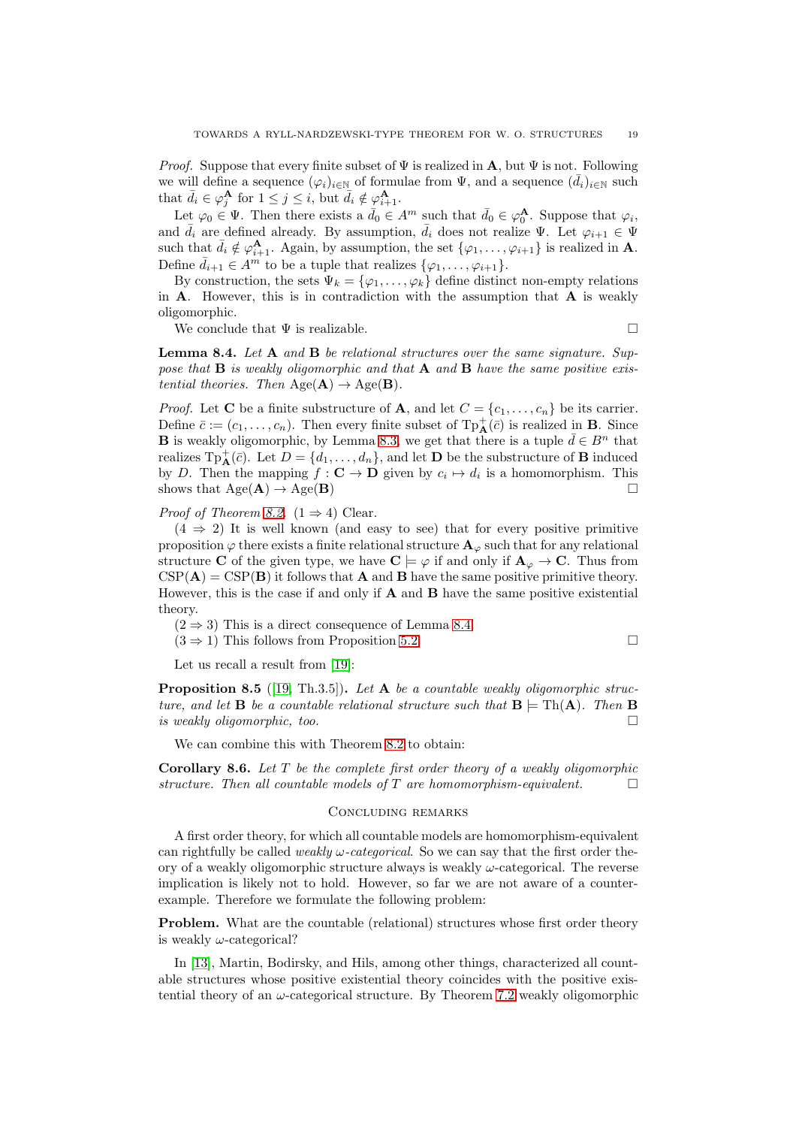*Proof.* Suppose that every finite subset of  $\Psi$  is realized in **A**, but  $\Psi$  is not. Following we will define a sequence  $(\varphi_i)_{i\in\mathbb{N}}$  of formulae from  $\Psi$ , and a sequence  $(\bar{d}_i)_{i\in\mathbb{N}}$  such that  $\bar{d}_i \in \varphi_j^{\mathbf{A}}$  for  $1 \leq j \leq i$ , but  $\bar{d}_i \notin \varphi_{i+1}^{\mathbf{A}}$ .

Let  $\varphi_0 \in \Psi$ . Then there exists a  $\bar{d}_0 \in A^m$  such that  $\bar{d}_0 \in \varphi_0^{\mathbf{A}}$ . Suppose that  $\varphi_i$ , and  $\bar{d}_i$  are defined already. By assumption,  $\bar{d}_i$  does not realize  $\Psi$ . Let  $\varphi_{i+1} \in \Psi$ such that  $\bar{d}_i \notin \varphi_{i+1}^{\mathbf{A}}$ . Again, by assumption, the set  $\{\varphi_1, \ldots, \varphi_{i+1}\}$  is realized in **A**. Define  $\bar{d}_{i+1} \in A^m$  to be a tuple that realizes  $\{\varphi_1, \ldots, \varphi_{i+1}\}.$ 

By construction, the sets  $\Psi_k = {\varphi_1, \ldots, \varphi_k}$  define distinct non-empty relations in  $A$ . However, this is in contradiction with the assumption that  $A$  is weakly oligomorphic.

We conclude that  $\Psi$  is realizable.

<span id="page-18-0"></span>Lemma 8.4. *Let* A *and* B *be relational structures over the same signature. Suppose that* B *is weakly oligomorphic and that* A *and* B *have the same positive existential theories. Then*  $Age(A) \rightarrow Age(B)$ .

*Proof.* Let **C** be a finite substructure of **A**, and let  $C = \{c_1, \ldots, c_n\}$  be its carrier. Define  $\bar{c} := (c_1, \ldots, c_n)$ . Then every finite subset of  $\text{Tp}^+_{\mathbf{A}}(\bar{c})$  is realized in **B**. Since **B** is weakly oligomorphic, by Lemma [8.3,](#page-17-2) we get that there is a tuple  $\bar{d} \in B^n$  that realizes  $\text{Tp}^+_{\mathbf{A}}(\bar{c})$ . Let  $D = \{d_1, \ldots, d_n\}$ , and let **D** be the substructure of **B** induced by D. Then the mapping  $f: \mathbf{C} \to \mathbf{D}$  given by  $c_i \mapsto d_i$  is a homomorphism. This shows that  $Age(A) \rightarrow Age(B)$ 

*Proof of Theorem [8.2.](#page-17-1)*  $(1 \Rightarrow 4)$  Clear.

 $(4 \Rightarrow 2)$  It is well known (and easy to see) that for every positive primitive proposition  $\varphi$  there exists a finite relational structure  $\mathbf{A}_{\varphi}$  such that for any relational structure C of the given type, we have  $C \models \varphi$  if and only if  $A_{\varphi} \to C$ . Thus from  $CSP(A) = CSP(B)$  it follows that **A** and **B** have the same positive primitive theory. However, this is the case if and only if  $A$  and  $B$  have the same positive existential theory.

 $(2 \Rightarrow 3)$  This is a direct consequence of Lemma [8.4.](#page-18-0)

 $(3 \Rightarrow 1)$  This follows from Proposition [5.2.](#page-11-1)

Let us recall a result from [\[19\]](#page-19-16):

Proposition 8.5 ([\[19,](#page-19-16) Th.3.5]). *Let* A *be a countable weakly oligomorphic structure, and let* **B** *be a countable relational structure such that*  $\mathbf{B} = \text{Th}(\mathbf{A})$ *. Then* **B** *is weakly oligomorphic, too.*

We can combine this with Theorem [8.2](#page-17-1) to obtain:

Corollary 8.6. *Let* T *be the complete first order theory of a weakly oligomorphic structure. Then all countable models of* T *are homomorphism-equivalent.*

#### Concluding remarks

A first order theory, for which all countable models are homomorphism-equivalent can rightfully be called *weakly* ω*-categorical*. So we can say that the first order theory of a weakly oligomorphic structure always is weakly  $\omega$ -categorical. The reverse implication is likely not to hold. However, so far we are not aware of a counterexample. Therefore we formulate the following problem:

Problem. What are the countable (relational) structures whose first order theory is weakly  $\omega$ -categorical?

In [\[13\]](#page-19-23), Martin, Bodirsky, and Hils, among other things, characterized all countable structures whose positive existential theory coincides with the positive existential theory of an  $\omega$ -categorical structure. By Theorem [7.2](#page-16-2) weakly oligomorphic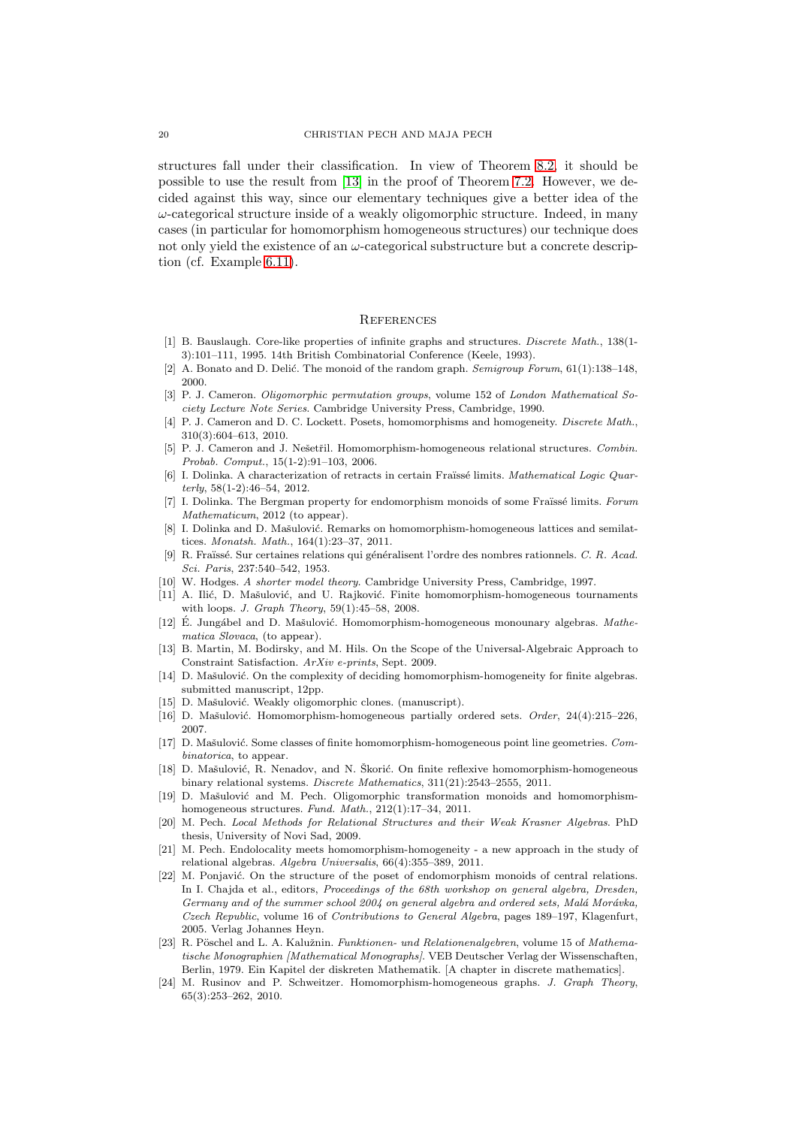structures fall under their classification. In view of Theorem [8.2,](#page-17-1) it should be possible to use the result from [\[13\]](#page-19-23) in the proof of Theorem [7.2.](#page-16-2) However, we decided against this way, since our elementary techniques give a better idea of the  $\omega$ -categorical structure inside of a weakly oligomorphic structure. Indeed, in many cases (in particular for homomorphism homogeneous structures) our technique does not only yield the existence of an  $\omega$ -categorical substructure but a concrete description (cf. Example [6.11\)](#page-16-3).

#### **REFERENCES**

- <span id="page-19-21"></span>[1] B. Bauslaugh. Core-like properties of infinite graphs and structures. Discrete Math., 138(1-3):101–111, 1995. 14th British Combinatorial Conference (Keele, 1993).
- <span id="page-19-22"></span><span id="page-19-0"></span>[2] A. Bonato and D. Delić. The monoid of the random graph. Semigroup Forum,  $61(1):138-148$ , 2000.
- [3] P. J. Cameron. *Oligomorphic permutation groups*, volume 152 of *London Mathematical So*ciety Lecture Note Series. Cambridge University Press, Cambridge, 1990.
- <span id="page-19-7"></span>[4] P. J. Cameron and D. C. Lockett. Posets, homomorphisms and homogeneity. Discrete Math., 310(3):604–613, 2010.
- <span id="page-19-1"></span>[5] P. J. Cameron and J. Nešetřil. Homomorphism-homogeneous relational structures. Combin. Probab. Comput., 15(1-2):91–103, 2006.
- <span id="page-19-2"></span>[6] I. Dolinka. A characterization of retracts in certain Fraïssé limits. Mathematical Logic Quarterly, 58(1-2):46–54, 2012.
- <span id="page-19-3"></span>I. Dolinka. The Bergman property for endomorphism monoids of some Fraïssé limits. Forum Mathematicum, 2012 (to appear).
- <span id="page-19-8"></span>[8] I. Dolinka and D. Mašulović. Remarks on homomorphism-homogeneous lattices and semilattices. Monatsh. Math., 164(1):23–37, 2011.
- <span id="page-19-20"></span>[9] R. Fraïssé. Sur certaines relations qui généralisent l'ordre des nombres rationnels. C. R. Acad. Sci. Paris, 237:540–542, 1953.
- <span id="page-19-17"></span><span id="page-19-9"></span>[10] W. Hodges. A shorter model theory. Cambridge University Press, Cambridge, 1997.
- [11] A. Ilić, D. Mašulović, and U. Rajković. Finite homomorphism-homogeneous tournaments with loops. J. Graph Theory,  $59(1):45-58$ ,  $2008$ .
- <span id="page-19-10"></span>[12] É. Jungábel and D. Mašulović. Homomorphism-homogeneous monounary algebras. Mathematica Slovaca, (to appear).
- <span id="page-19-23"></span>[13] B. Martin, M. Bodirsky, and M. Hils. On the Scope of the Universal-Algebraic Approach to Constraint Satisfaction. ArXiv e-prints, Sept. 2009.
- <span id="page-19-14"></span>[14] D. Mašulović. On the complexity of deciding homomorphism-homogeneity for finite algebras. submitted manuscript, 12pp.
- <span id="page-19-19"></span><span id="page-19-11"></span>[15] D. Mašulović. Weakly oligomorphic clones. (manuscript).
- <span id="page-19-12"></span>[16] D. Mašulović. Homomorphism-homogeneous partially ordered sets.  $Order$ ,  $24(4):215-226$ , 2007.
- [17] D. Mašulović. Some classes of finite homomorphism-homogeneous point line geometries. Combinatorica, to appear.
- <span id="page-19-13"></span>[18] D. Mašulović, R. Nenadov, and N. Škorić. On finite reflexive homomorphism-homogeneous binary relational systems. Discrete Mathematics, 311(21):2543–2555, 2011.
- <span id="page-19-16"></span>[19] D. Mašulović and M. Pech. Oligomorphic transformation monoids and homomorphismhomogeneous structures. Fund. Math., 212(1):17–34, 2011.
- <span id="page-19-4"></span>[20] M. Pech. Local Methods for Relational Structures and their Weak Krasner Algebras. PhD thesis, University of Novi Sad, 2009.
- <span id="page-19-5"></span>[21] M. Pech. Endolocality meets homomorphism-homogeneity - a new approach in the study of relational algebras. Algebra Universalis, 66(4):355–389, 2011.
- <span id="page-19-6"></span>[22] M. Ponjavić. On the structure of the poset of endomorphism monoids of central relations. In I. Chajda et al., editors, Proceedings of the 68th workshop on general algebra, Dresden, Germany and of the summer school 2004 on general algebra and ordered sets, Malá Morávka, Czech Republic, volume 16 of Contributions to General Algebra, pages 189–197, Klagenfurt, 2005. Verlag Johannes Heyn.
- <span id="page-19-18"></span>[23] R. Pöschel and L. A. Kalužnin. Funktionen- und Relationenalgebren, volume 15 of Mathematische Monographien [Mathematical Monographs]. VEB Deutscher Verlag der Wissenschaften, Berlin, 1979. Ein Kapitel der diskreten Mathematik. [A chapter in discrete mathematics].
- <span id="page-19-15"></span>[24] M. Rusinov and P. Schweitzer. Homomorphism-homogeneous graphs. J. Graph Theory, 65(3):253–262, 2010.